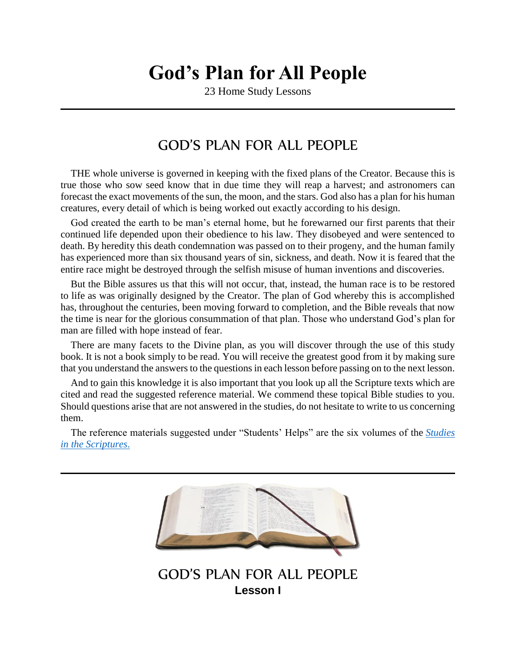# **God's Plan for All People**

23 Home Study Lessons

## GOD'S PLAN FOR ALL PEOPLE

THE whole universe is governed in keeping with the fixed plans of the Creator. Because this is true those who sow seed know that in due time they will reap a harvest; and astronomers can forecast the exact movements of the sun, the moon, and the stars. God also has a plan for his human creatures, every detail of which is being worked out exactly according to his design.

God created the earth to be man's eternal home, but he forewarned our first parents that their continued life depended upon their obedience to his law. They disobeyed and were sentenced to death. By heredity this death condemnation was passed on to their progeny, and the human family has experienced more than six thousand years of sin, sickness, and death. Now it is feared that the entire race might be destroyed through the selfish misuse of human inventions and discoveries.

But the Bible assures us that this will not occur, that, instead, the human race is to be restored to life as was originally designed by the Creator. The plan of God whereby this is accomplished has, throughout the centuries, been moving forward to completion, and the Bible reveals that now the time is near for the glorious consummation of that plan. Those who understand God's plan for man are filled with hope instead of fear.

There are many facets to the Divine plan, as you will discover through the use of this study book. It is not a book simply to be read. You will receive the greatest good from it by making sure that you understand the answers to the questions in each lesson before passing on to the next lesson.

And to gain this knowledge it is also important that you look up all the Scripture texts which are cited and read the suggested reference material. We commend these topical Bible studies to you. Should questions arise that are not answered in the studies, do not hesitate to write to us concerning them.

The reference materials suggested under "Students' Helps" are the six volumes of the *[Studies](http://www.bibletoday.com/bible_study.htm)  [in the Scriptures](http://www.bibletoday.com/bible_study.htm)*.



GOD'S PLAN FOR ALL PEOPLE **Lesson I**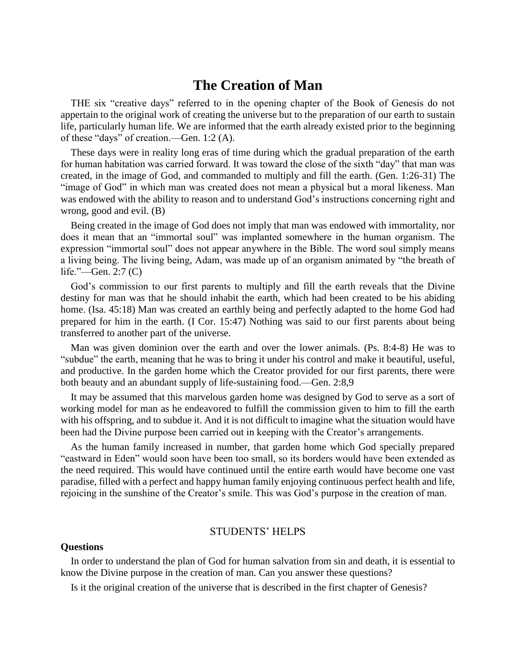## **The Creation of Man**

THE six "creative days" referred to in the opening chapter of the Book of Genesis do not appertain to the original work of creating the universe but to the preparation of our earth to sustain life, particularly human life. We are informed that the earth already existed prior to the beginning of these "days" of creation.—Gen. 1:2 (A).

These days were in reality long eras of time during which the gradual preparation of the earth for human habitation was carried forward. It was toward the close of the sixth "day" that man was created, in the image of God, and commanded to multiply and fill the earth. (Gen. 1:26-31) The "image of God" in which man was created does not mean a physical but a moral likeness. Man was endowed with the ability to reason and to understand God's instructions concerning right and wrong, good and evil. (B)

Being created in the image of God does not imply that man was endowed with immortality, nor does it mean that an "immortal soul" was implanted somewhere in the human organism. The expression "immortal soul" does not appear anywhere in the Bible. The word soul simply means a living being. The living being, Adam, was made up of an organism animated by "the breath of life."—Gen. 2:7 (C)

God's commission to our first parents to multiply and fill the earth reveals that the Divine destiny for man was that he should inhabit the earth, which had been created to be his abiding home. (Isa. 45:18) Man was created an earthly being and perfectly adapted to the home God had prepared for him in the earth. (I Cor. 15:47) Nothing was said to our first parents about being transferred to another part of the universe.

Man was given dominion over the earth and over the lower animals. (Ps. 8:4-8) He was to "subdue" the earth, meaning that he was to bring it under his control and make it beautiful, useful, and productive. In the garden home which the Creator provided for our first parents, there were both beauty and an abundant supply of life-sustaining food.—Gen. 2:8,9

It may be assumed that this marvelous garden home was designed by God to serve as a sort of working model for man as he endeavored to fulfill the commission given to him to fill the earth with his offspring, and to subdue it. And it is not difficult to imagine what the situation would have been had the Divine purpose been carried out in keeping with the Creator's arrangements.

As the human family increased in number, that garden home which God specially prepared "eastward in Eden" would soon have been too small, so its borders would have been extended as the need required. This would have continued until the entire earth would have become one vast paradise, filled with a perfect and happy human family enjoying continuous perfect health and life, rejoicing in the sunshine of the Creator's smile. This was God's purpose in the creation of man.

### STUDENTS' HELPS

#### **Questions**

In order to understand the plan of God for human salvation from sin and death, it is essential to know the Divine purpose in the creation of man. Can you answer these questions?

Is it the original creation of the universe that is described in the first chapter of Genesis?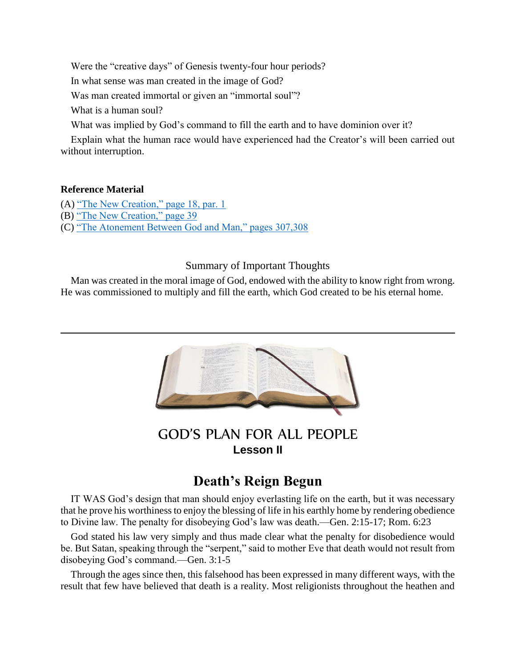Were the "creative days" of Genesis twenty-four hour periods?

In what sense was man created in the image of God?

Was man created immortal or given an "immortal soul"?

What is a human soul?

What was implied by God's command to fill the earth and to have dominion over it?

Explain what the human race would have experienced had the Creator's will been carried out without interruption.

### **Reference Material**

- (A) ["The New Creation," page 18, par. 1](http://www.bibletoday.com/biblestudies/V6/S01.htm#.Ws5bGWaZODU)
- (B) ["The New Creation," page 39](http://www.bibletoday.com/biblestudies/V6/S01.htm#.Ws5bGWaZODU)

(C) ["The Atonement Between God and Man," pages 307,308](http://www.bibletoday.com/biblestudies/V5/S12.htm#.Ws5YfGaZODU)

### Summary of Important Thoughts

Man was created in the moral image of God, endowed with the ability to know right from wrong. He was commissioned to multiply and fill the earth, which God created to be his eternal home.



## GOD'S PLAN FOR ALL PEOPLE **Lesson II**

## **Death's Reign Begun**

IT WAS God's design that man should enjoy everlasting life on the earth, but it was necessary that he prove his worthiness to enjoy the blessing of life in his earthly home by rendering obedience to Divine law. The penalty for disobeying God's law was death.—Gen. 2:15-17; Rom. 6:23

God stated his law very simply and thus made clear what the penalty for disobedience would be. But Satan, speaking through the "serpent," said to mother Eve that death would not result from disobeying God's command.—Gen. 3:1-5

Through the ages since then, this falsehood has been expressed in many different ways, with the result that few have believed that death is a reality. Most religionists throughout the heathen and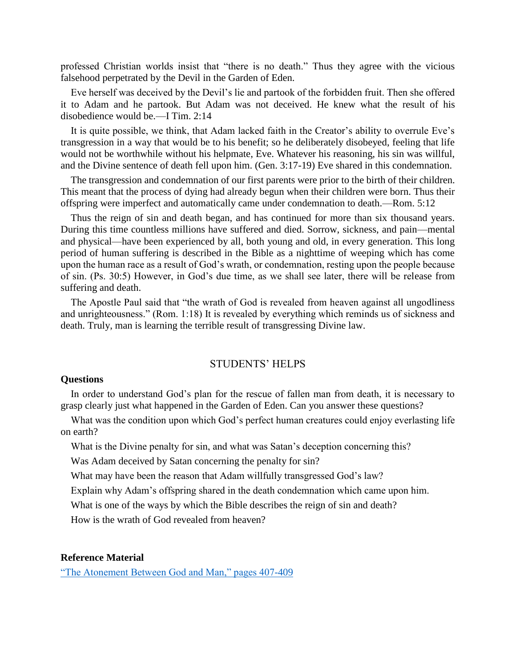professed Christian worlds insist that "there is no death." Thus they agree with the vicious falsehood perpetrated by the Devil in the Garden of Eden.

Eve herself was deceived by the Devil's lie and partook of the forbidden fruit. Then she offered it to Adam and he partook. But Adam was not deceived. He knew what the result of his disobedience would be.—I Tim. 2:14

It is quite possible, we think, that Adam lacked faith in the Creator's ability to overrule Eve's transgression in a way that would be to his benefit; so he deliberately disobeyed, feeling that life would not be worthwhile without his helpmate, Eve. Whatever his reasoning, his sin was willful, and the Divine sentence of death fell upon him. (Gen. 3:17-19) Eve shared in this condemnation.

The transgression and condemnation of our first parents were prior to the birth of their children. This meant that the process of dying had already begun when their children were born. Thus their offspring were imperfect and automatically came under condemnation to death.—Rom. 5:12

Thus the reign of sin and death began, and has continued for more than six thousand years. During this time countless millions have suffered and died. Sorrow, sickness, and pain—mental and physical—have been experienced by all, both young and old, in every generation. This long period of human suffering is described in the Bible as a nighttime of weeping which has come upon the human race as a result of God's wrath, or condemnation, resting upon the people because of sin. (Ps. 30:5) However, in God's due time, as we shall see later, there will be release from suffering and death.

The Apostle Paul said that "the wrath of God is revealed from heaven against all ungodliness and unrighteousness." (Rom. 1:18) It is revealed by everything which reminds us of sickness and death. Truly, man is learning the terrible result of transgressing Divine law.

#### STUDENTS' HELPS

#### **Questions**

In order to understand God's plan for the rescue of fallen man from death, it is necessary to grasp clearly just what happened in the Garden of Eden. Can you answer these questions?

What was the condition upon which God's perfect human creatures could enjoy everlasting life on earth?

What is the Divine penalty for sin, and what was Satan's deception concerning this?

Was Adam deceived by Satan concerning the penalty for sin?

What may have been the reason that Adam willfully transgressed God's law?

Explain why Adam's offspring shared in the death condemnation which came upon him.

What is one of the ways by which the Bible describes the reign of sin and death?

How is the wrath of God revealed from heaven?

#### **Reference Material**

["The Atonement Between God and Man," pages 407-409](http://www.bibletoday.com/biblestudies/V5/S14.htm#.Ws5cumaZODU)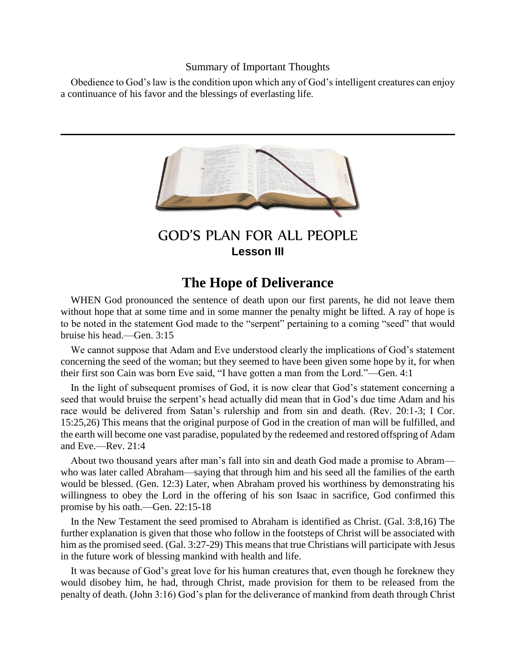#### Summary of Important Thoughts

Obedience to God's law is the condition upon which any of God's intelligent creatures can enjoy a continuance of his favor and the blessings of everlasting life.



**Lesson III**

## **The Hope of Deliverance**

WHEN God pronounced the sentence of death upon our first parents, he did not leave them without hope that at some time and in some manner the penalty might be lifted. A ray of hope is to be noted in the statement God made to the "serpent" pertaining to a coming "seed" that would bruise his head.—Gen. 3:15

We cannot suppose that Adam and Eve understood clearly the implications of God's statement concerning the seed of the woman; but they seemed to have been given some hope by it, for when their first son Cain was born Eve said, "I have gotten a man from the Lord."—Gen. 4:1

In the light of subsequent promises of God, it is now clear that God's statement concerning a seed that would bruise the serpent's head actually did mean that in God's due time Adam and his race would be delivered from Satan's rulership and from sin and death. (Rev. 20:1-3; I Cor. 15:25,26) This means that the original purpose of God in the creation of man will be fulfilled, and the earth will become one vast paradise, populated by the redeemed and restored offspring of Adam and Eve.—Rev. 21:4

About two thousand years after man's fall into sin and death God made a promise to Abram who was later called Abraham—saying that through him and his seed all the families of the earth would be blessed. (Gen. 12:3) Later, when Abraham proved his worthiness by demonstrating his willingness to obey the Lord in the offering of his son Isaac in sacrifice, God confirmed this promise by his oath.—Gen. 22:15-18

In the New Testament the seed promised to Abraham is identified as Christ. (Gal. 3:8,16) The further explanation is given that those who follow in the footsteps of Christ will be associated with him as the promised seed. (Gal. 3:27-29) This means that true Christians will participate with Jesus in the future work of blessing mankind with health and life.

It was because of God's great love for his human creatures that, even though he foreknew they would disobey him, he had, through Christ, made provision for them to be released from the penalty of death. (John 3:16) God's plan for the deliverance of mankind from death through Christ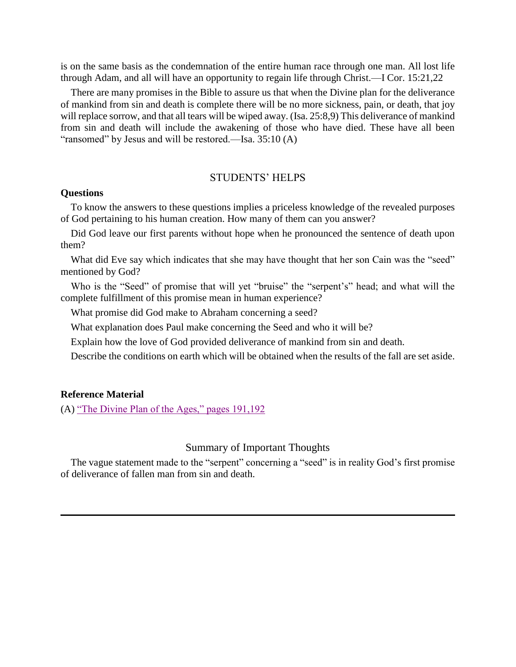is on the same basis as the condemnation of the entire human race through one man. All lost life through Adam, and all will have an opportunity to regain life through Christ.—I Cor. 15:21,22

There are many promises in the Bible to assure us that when the Divine plan for the deliverance of mankind from sin and death is complete there will be no more sickness, pain, or death, that joy will replace sorrow, and that all tears will be wiped away. (Isa. 25:8,9) This deliverance of mankind from sin and death will include the awakening of those who have died. These have all been "ransomed" by Jesus and will be restored.—Isa. 35:10 (A)

### STUDENTS' HELPS

#### **Questions**

To know the answers to these questions implies a priceless knowledge of the revealed purposes of God pertaining to his human creation. How many of them can you answer?

Did God leave our first parents without hope when he pronounced the sentence of death upon them?

What did Eve say which indicates that she may have thought that her son Cain was the "seed" mentioned by God?

Who is the "Seed" of promise that will yet "bruise" the "serpent's" head; and what will the complete fulfillment of this promise mean in human experience?

What promise did God make to Abraham concerning a seed?

What explanation does Paul make concerning the Seed and who it will be?

Explain how the love of God provided deliverance of mankind from sin and death.

Describe the conditions on earth which will be obtained when the results of the fall are set aside.

#### **Reference Material**

(A) ["The Divine Plan of the Ages," pages 191,192](http://www.bibletoday.com/biblestudies/V1/S10.htm#.Ws5dlGaZODU)

#### Summary of Important Thoughts

The vague statement made to the "serpent" concerning a "seed" is in reality God's first promise of deliverance of fallen man from sin and death.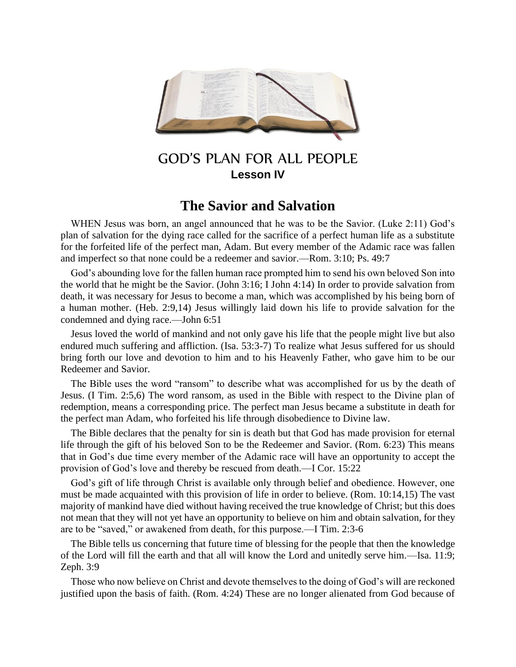

## GOD'S PLAN FOR ALL PEOPLE **Lesson IV**

## **The Savior and Salvation**

WHEN Jesus was born, an angel announced that he was to be the Savior. (Luke 2:11) God's plan of salvation for the dying race called for the sacrifice of a perfect human life as a substitute for the forfeited life of the perfect man, Adam. But every member of the Adamic race was fallen and imperfect so that none could be a redeemer and savior.—Rom. 3:10; Ps. 49:7

God's abounding love for the fallen human race prompted him to send his own beloved Son into the world that he might be the Savior. (John 3:16; I John 4:14) In order to provide salvation from death, it was necessary for Jesus to become a man, which was accomplished by his being born of a human mother. (Heb. 2:9,14) Jesus willingly laid down his life to provide salvation for the condemned and dying race.—John 6:51

Jesus loved the world of mankind and not only gave his life that the people might live but also endured much suffering and affliction. (Isa. 53:3-7) To realize what Jesus suffered for us should bring forth our love and devotion to him and to his Heavenly Father, who gave him to be our Redeemer and Savior.

The Bible uses the word "ransom" to describe what was accomplished for us by the death of Jesus. (I Tim. 2:5,6) The word ransom, as used in the Bible with respect to the Divine plan of redemption, means a corresponding price. The perfect man Jesus became a substitute in death for the perfect man Adam, who forfeited his life through disobedience to Divine law.

The Bible declares that the penalty for sin is death but that God has made provision for eternal life through the gift of his beloved Son to be the Redeemer and Savior. (Rom. 6:23) This means that in God's due time every member of the Adamic race will have an opportunity to accept the provision of God's love and thereby be rescued from death.—I Cor. 15:22

God's gift of life through Christ is available only through belief and obedience. However, one must be made acquainted with this provision of life in order to believe. (Rom. 10:14,15) The vast majority of mankind have died without having received the true knowledge of Christ; but this does not mean that they will not yet have an opportunity to believe on him and obtain salvation, for they are to be "saved," or awakened from death, for this purpose.—I Tim. 2:3-6

The Bible tells us concerning that future time of blessing for the people that then the knowledge of the Lord will fill the earth and that all will know the Lord and unitedly serve him.—Isa. 11:9; Zeph. 3:9

Those who now believe on Christ and devote themselves to the doing of God's will are reckoned justified upon the basis of faith. (Rom. 4:24) These are no longer alienated from God because of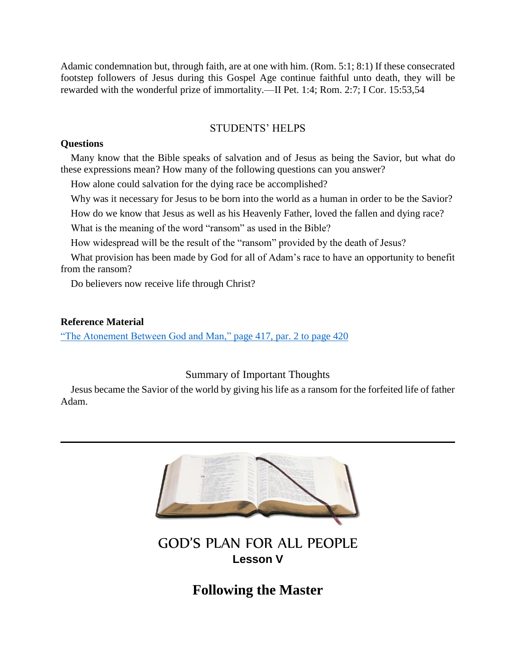Adamic condemnation but, through faith, are at one with him. (Rom. 5:1; 8:1) If these consecrated footstep followers of Jesus during this Gospel Age continue faithful unto death, they will be rewarded with the wonderful prize of immortality.—II Pet. 1:4; Rom. 2:7; I Cor. 15:53,54

### STUDENTS' HELPS

### **Questions**

Many know that the Bible speaks of salvation and of Jesus as being the Savior, but what do these expressions mean? How many of the following questions can you answer?

How alone could salvation for the dying race be accomplished?

Why was it necessary for Jesus to be born into the world as a human in order to be the Savior?

How do we know that Jesus as well as his Heavenly Father, loved the fallen and dying race?

What is the meaning of the word "ransom" as used in the Bible?

How widespread will be the result of the "ransom" provided by the death of Jesus?

What provision has been made by God for all of Adam's race to have an opportunity to benefit from the ransom?

Do believers now receive life through Christ?

### **Reference Material**

["The Atonement Between God and Man," page 417, par. 2 to page 420](http://www.bibletoday.com/biblestudies/V5/S14.htm#.Ws5eX2aZODU)

### Summary of Important Thoughts

Jesus became the Savior of the world by giving his life as a ransom for the forfeited life of father Adam.



GOD'S PLAN FOR ALL PEOPLE **Lesson V**

**Following the Master**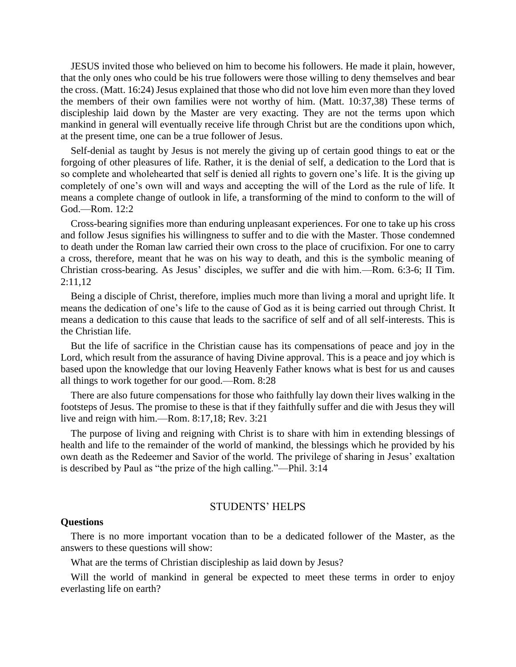JESUS invited those who believed on him to become his followers. He made it plain, however, that the only ones who could be his true followers were those willing to deny themselves and bear the cross. (Matt. 16:24) Jesus explained that those who did not love him even more than they loved the members of their own families were not worthy of him. (Matt. 10:37,38) These terms of discipleship laid down by the Master are very exacting. They are not the terms upon which mankind in general will eventually receive life through Christ but are the conditions upon which, at the present time, one can be a true follower of Jesus.

Self-denial as taught by Jesus is not merely the giving up of certain good things to eat or the forgoing of other pleasures of life. Rather, it is the denial of self, a dedication to the Lord that is so complete and wholehearted that self is denied all rights to govern one's life. It is the giving up completely of one's own will and ways and accepting the will of the Lord as the rule of life. It means a complete change of outlook in life, a transforming of the mind to conform to the will of God.—Rom. 12:2

Cross-bearing signifies more than enduring unpleasant experiences. For one to take up his cross and follow Jesus signifies his willingness to suffer and to die with the Master. Those condemned to death under the Roman law carried their own cross to the place of crucifixion. For one to carry a cross, therefore, meant that he was on his way to death, and this is the symbolic meaning of Christian cross-bearing. As Jesus' disciples, we suffer and die with him.—Rom. 6:3-6; II Tim. 2:11,12

Being a disciple of Christ, therefore, implies much more than living a moral and upright life. It means the dedication of one's life to the cause of God as it is being carried out through Christ. It means a dedication to this cause that leads to the sacrifice of self and of all self-interests. This is the Christian life.

But the life of sacrifice in the Christian cause has its compensations of peace and joy in the Lord, which result from the assurance of having Divine approval. This is a peace and joy which is based upon the knowledge that our loving Heavenly Father knows what is best for us and causes all things to work together for our good.—Rom. 8:28

There are also future compensations for those who faithfully lay down their lives walking in the footsteps of Jesus. The promise to these is that if they faithfully suffer and die with Jesus they will live and reign with him.—Rom. 8:17,18; Rev. 3:21

The purpose of living and reigning with Christ is to share with him in extending blessings of health and life to the remainder of the world of mankind, the blessings which he provided by his own death as the Redeemer and Savior of the world. The privilege of sharing in Jesus' exaltation is described by Paul as "the prize of the high calling."—Phil. 3:14

### STUDENTS' HELPS

#### **Questions**

There is no more important vocation than to be a dedicated follower of the Master, as the answers to these questions will show:

What are the terms of Christian discipleship as laid down by Jesus?

Will the world of mankind in general be expected to meet these terms in order to enjoy everlasting life on earth?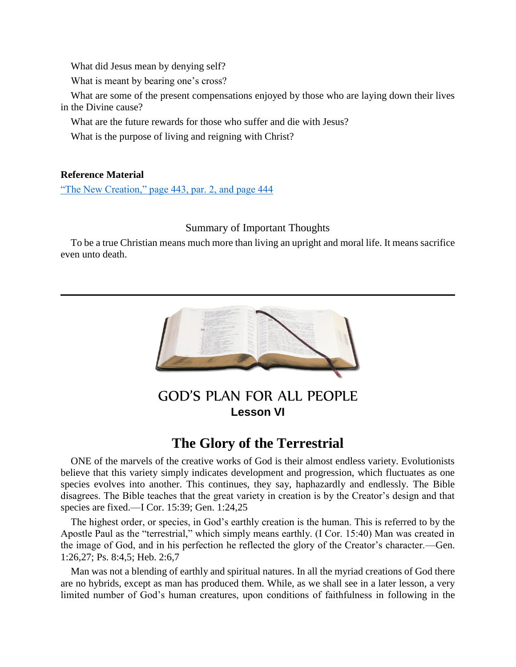What did Jesus mean by denying self?

What is meant by bearing one's cross?

What are some of the present compensations enjoyed by those who are laying down their lives in the Divine cause?

What are the future rewards for those who suffer and die with Jesus?

What is the purpose of living and reigning with Christ?

### **Reference Material**

["The New Creation," page 443, par. 2, and page 444](http://www.bibletoday.com/biblestudies/V6/S10.htm#.Ws5fAmaZODU)

### Summary of Important Thoughts

To be a true Christian means much more than living an upright and moral life. It means sacrifice even unto death.



GOD'S PLAN FOR ALL PEOPLE **Lesson VI**

## **The Glory of the Terrestrial**

ONE of the marvels of the creative works of God is their almost endless variety. Evolutionists believe that this variety simply indicates development and progression, which fluctuates as one species evolves into another. This continues, they say, haphazardly and endlessly. The Bible disagrees. The Bible teaches that the great variety in creation is by the Creator's design and that species are fixed.—I Cor. 15:39; Gen. 1:24,25

The highest order, or species, in God's earthly creation is the human. This is referred to by the Apostle Paul as the "terrestrial," which simply means earthly. (I Cor. 15:40) Man was created in the image of God, and in his perfection he reflected the glory of the Creator's character.—Gen. 1:26,27; Ps. 8:4,5; Heb. 2:6,7

Man was not a blending of earthly and spiritual natures. In all the myriad creations of God there are no hybrids, except as man has produced them. While, as we shall see in a later lesson, a very limited number of God's human creatures, upon conditions of faithfulness in following in the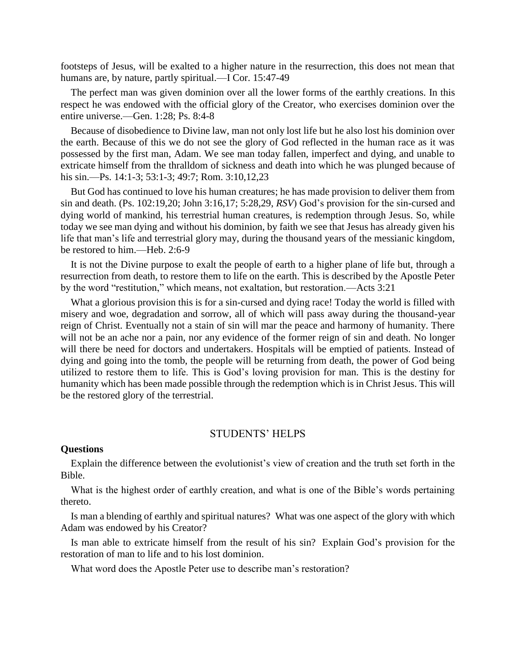footsteps of Jesus, will be exalted to a higher nature in the resurrection, this does not mean that humans are, by nature, partly spiritual.—I Cor. 15:47-49

The perfect man was given dominion over all the lower forms of the earthly creations. In this respect he was endowed with the official glory of the Creator, who exercises dominion over the entire universe.—Gen. 1:28; Ps. 8:4-8

Because of disobedience to Divine law, man not only lost life but he also lost his dominion over the earth. Because of this we do not see the glory of God reflected in the human race as it was possessed by the first man, Adam. We see man today fallen, imperfect and dying, and unable to extricate himself from the thralldom of sickness and death into which he was plunged because of his sin.—Ps. 14:1-3; 53:1-3; 49:7; Rom. 3:10,12,23

But God has continued to love his human creatures; he has made provision to deliver them from sin and death. (Ps. 102:19,20; John 3:16,17; 5:28,29, *RSV*) God's provision for the sin-cursed and dying world of mankind, his terrestrial human creatures, is redemption through Jesus. So, while today we see man dying and without his dominion, by faith we see that Jesus has already given his life that man's life and terrestrial glory may, during the thousand years of the messianic kingdom, be restored to him.—Heb. 2:6-9

It is not the Divine purpose to exalt the people of earth to a higher plane of life but, through a resurrection from death, to restore them to life on the earth. This is described by the Apostle Peter by the word "restitution," which means, not exaltation, but restoration.—Acts 3:21

What a glorious provision this is for a sin-cursed and dying race! Today the world is filled with misery and woe, degradation and sorrow, all of which will pass away during the thousand-year reign of Christ. Eventually not a stain of sin will mar the peace and harmony of humanity. There will not be an ache nor a pain, nor any evidence of the former reign of sin and death. No longer will there be need for doctors and undertakers. Hospitals will be emptied of patients. Instead of dying and going into the tomb, the people will be returning from death, the power of God being utilized to restore them to life. This is God's loving provision for man. This is the destiny for humanity which has been made possible through the redemption which is in Christ Jesus. This will be the restored glory of the terrestrial.

#### STUDENTS' HELPS

#### **Questions**

Explain the difference between the evolutionist's view of creation and the truth set forth in the Bible.

What is the highest order of earthly creation, and what is one of the Bible's words pertaining thereto.

Is man a blending of earthly and spiritual natures? What was one aspect of the glory with which Adam was endowed by his Creator?

Is man able to extricate himself from the result of his sin? Explain God's provision for the restoration of man to life and to his lost dominion.

What word does the Apostle Peter use to describe man's restoration?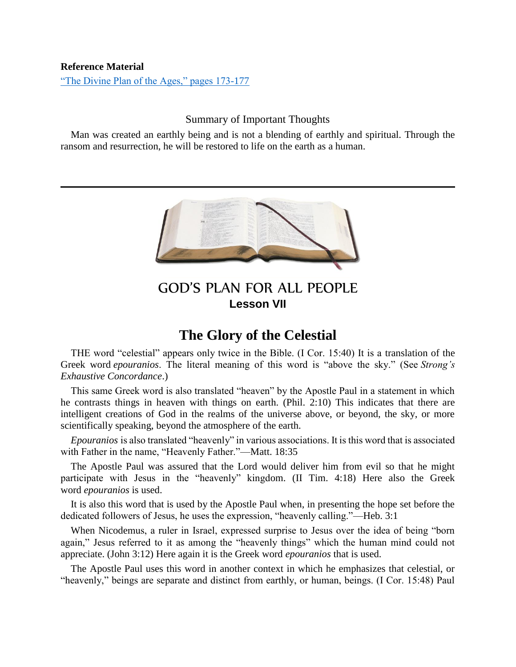#### **Reference Material**

["The Divine Plan of the Ages," pages 173-177](http://www.bibletoday.com/biblestudies/V1/S10.htm#.Ws5f1GaZODU)

#### Summary of Important Thoughts

Man was created an earthly being and is not a blending of earthly and spiritual. Through the ransom and resurrection, he will be restored to life on the earth as a human.



## GOD'S PLAN FOR ALL PEOPLE **Lesson VII**

## **The Glory of the Celestial**

THE word "celestial" appears only twice in the Bible. (I Cor. 15:40) It is a translation of the Greek word *epouranios*. The literal meaning of this word is "above the sky." (See *Strong's Exhaustive Concordance*.)

This same Greek word is also translated "heaven" by the Apostle Paul in a statement in which he contrasts things in heaven with things on earth. (Phil. 2:10) This indicates that there are intelligent creations of God in the realms of the universe above, or beyond, the sky, or more scientifically speaking, beyond the atmosphere of the earth.

*Epouranios* is also translated "heavenly" in various associations. It is this word that is associated with Father in the name, "Heavenly Father."—Matt. 18:35

The Apostle Paul was assured that the Lord would deliver him from evil so that he might participate with Jesus in the "heavenly" kingdom. (II Tim. 4:18) Here also the Greek word *epouranios* is used.

It is also this word that is used by the Apostle Paul when, in presenting the hope set before the dedicated followers of Jesus, he uses the expression, "heavenly calling."—Heb. 3:1

When Nicodemus, a ruler in Israel, expressed surprise to Jesus over the idea of being "born again," Jesus referred to it as among the "heavenly things" which the human mind could not appreciate. (John 3:12) Here again it is the Greek word *epouranios* that is used.

The Apostle Paul uses this word in another context in which he emphasizes that celestial, or "heavenly," beings are separate and distinct from earthly, or human, beings. (I Cor. 15:48) Paul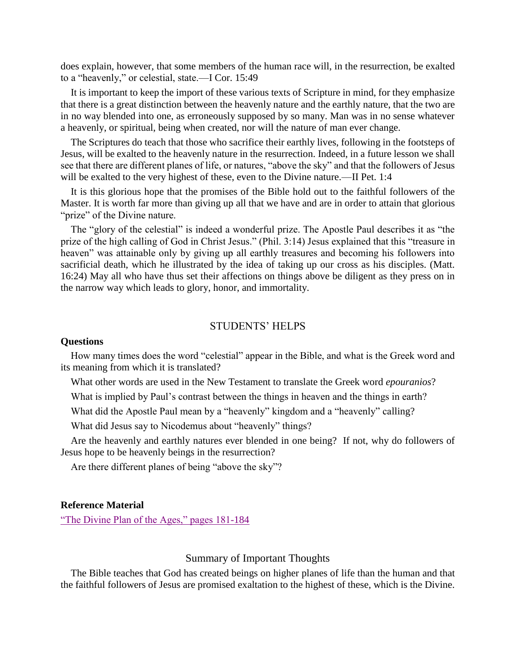does explain, however, that some members of the human race will, in the resurrection, be exalted to a "heavenly," or celestial, state.—I Cor. 15:49

It is important to keep the import of these various texts of Scripture in mind, for they emphasize that there is a great distinction between the heavenly nature and the earthly nature, that the two are in no way blended into one, as erroneously supposed by so many. Man was in no sense whatever a heavenly, or spiritual, being when created, nor will the nature of man ever change.

The Scriptures do teach that those who sacrifice their earthly lives, following in the footsteps of Jesus, will be exalted to the heavenly nature in the resurrection. Indeed, in a future lesson we shall see that there are different planes of life, or natures, "above the sky" and that the followers of Jesus will be exalted to the very highest of these, even to the Divine nature.—II Pet. 1:4

It is this glorious hope that the promises of the Bible hold out to the faithful followers of the Master. It is worth far more than giving up all that we have and are in order to attain that glorious "prize" of the Divine nature.

The "glory of the celestial" is indeed a wonderful prize. The Apostle Paul describes it as "the prize of the high calling of God in Christ Jesus." (Phil. 3:14) Jesus explained that this "treasure in heaven" was attainable only by giving up all earthly treasures and becoming his followers into sacrificial death, which he illustrated by the idea of taking up our cross as his disciples. (Matt. 16:24) May all who have thus set their affections on things above be diligent as they press on in the narrow way which leads to glory, honor, and immortality.

#### STUDENTS' HELPS

#### **Questions**

How many times does the word "celestial" appear in the Bible, and what is the Greek word and its meaning from which it is translated?

What other words are used in the New Testament to translate the Greek word *epouranios*?

What is implied by Paul's contrast between the things in heaven and the things in earth?

What did the Apostle Paul mean by a "heavenly" kingdom and a "heavenly" calling?

What did Jesus say to Nicodemus about "heavenly" things?

Are the heavenly and earthly natures ever blended in one being? If not, why do followers of Jesus hope to be heavenly beings in the resurrection?

Are there different planes of being "above the sky"?

#### **Reference Material**

["The Divine Plan of the Ages," pages 181-184](http://www.bibletoday.com/biblestudies/V1/S10.htm#.Ws5gLGaZODV)

#### Summary of Important Thoughts

The Bible teaches that God has created beings on higher planes of life than the human and that the faithful followers of Jesus are promised exaltation to the highest of these, which is the Divine.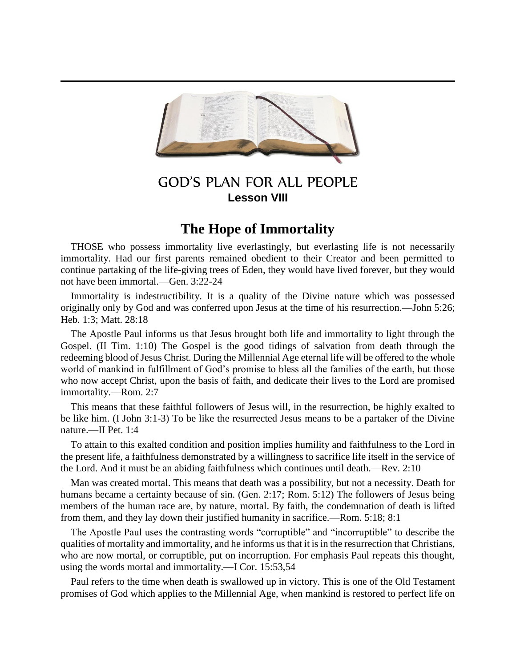

## GOD'S PLAN FOR ALL PEOPLE **Lesson VIII**

## **The Hope of Immortality**

THOSE who possess immortality live everlastingly, but everlasting life is not necessarily immortality. Had our first parents remained obedient to their Creator and been permitted to continue partaking of the life-giving trees of Eden, they would have lived forever, but they would not have been immortal.—Gen. 3:22-24

Immortality is indestructibility. It is a quality of the Divine nature which was possessed originally only by God and was conferred upon Jesus at the time of his resurrection.—John 5:26; Heb. 1:3; Matt. 28:18

The Apostle Paul informs us that Jesus brought both life and immortality to light through the Gospel. (II Tim. 1:10) The Gospel is the good tidings of salvation from death through the redeeming blood of Jesus Christ. During the Millennial Age eternal life will be offered to the whole world of mankind in fulfillment of God's promise to bless all the families of the earth, but those who now accept Christ, upon the basis of faith, and dedicate their lives to the Lord are promised immortality.—Rom. 2:7

This means that these faithful followers of Jesus will, in the resurrection, be highly exalted to be like him. (I John 3:1-3) To be like the resurrected Jesus means to be a partaker of the Divine nature.—II Pet. 1:4

To attain to this exalted condition and position implies humility and faithfulness to the Lord in the present life, a faithfulness demonstrated by a willingness to sacrifice life itself in the service of the Lord. And it must be an abiding faithfulness which continues until death.—Rev. 2:10

Man was created mortal. This means that death was a possibility, but not a necessity. Death for humans became a certainty because of sin. (Gen. 2:17; Rom. 5:12) The followers of Jesus being members of the human race are, by nature, mortal. By faith, the condemnation of death is lifted from them, and they lay down their justified humanity in sacrifice.—Rom. 5:18; 8:1

The Apostle Paul uses the contrasting words "corruptible" and "incorruptible" to describe the qualities of mortality and immortality, and he informs us that it is in the resurrection that Christians, who are now mortal, or corruptible, put on incorruption. For emphasis Paul repeats this thought, using the words mortal and immortality.—I Cor. 15:53,54

Paul refers to the time when death is swallowed up in victory. This is one of the Old Testament promises of God which applies to the Millennial Age, when mankind is restored to perfect life on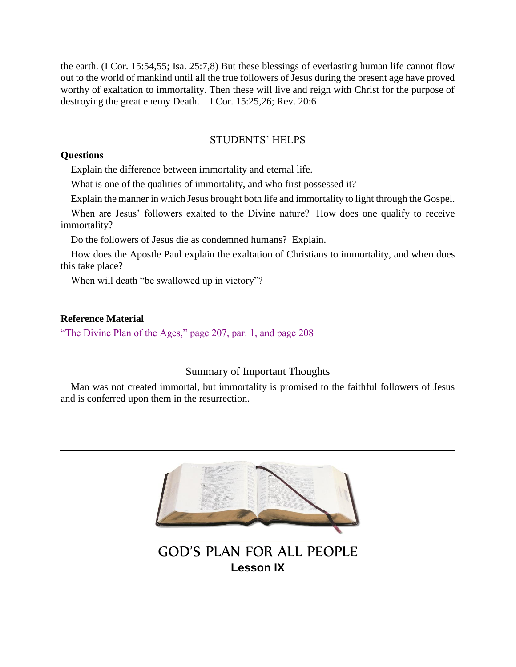the earth. (I Cor. 15:54,55; Isa. 25:7,8) But these blessings of everlasting human life cannot flow out to the world of mankind until all the true followers of Jesus during the present age have proved worthy of exaltation to immortality. Then these will live and reign with Christ for the purpose of destroying the great enemy Death.—I Cor. 15:25,26; Rev. 20:6

### STUDENTS' HELPS

### **Questions**

Explain the difference between immortality and eternal life.

What is one of the qualities of immortality, and who first possessed it?

Explain the manner in which Jesus brought both life and immortality to light through the Gospel.

When are Jesus' followers exalted to the Divine nature? How does one qualify to receive immortality?

Do the followers of Jesus die as condemned humans? Explain.

How does the Apostle Paul explain the exaltation of Christians to immortality, and when does this take place?

When will death "be swallowed up in victory"?

### **Reference Material**

["The Divine Plan of the Ages," page 207, par. 1, and page 208](http://www.bibletoday.com/biblestudies/V1/S11.htm#.Ws5he2aZODU)

### Summary of Important Thoughts

Man was not created immortal, but immortality is promised to the faithful followers of Jesus and is conferred upon them in the resurrection.



GOD'S PLAN FOR ALL PEOPLE **Lesson IX**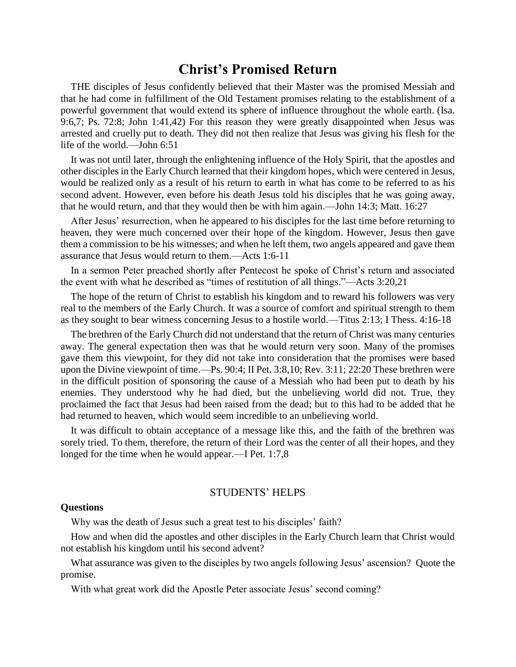## **Christ's Promised Return**

THE disciples of Jesus confidently believed that their Master was the promised Messiah and that he had come in fulfillment of the Old Testament promises relating to the establishment of a powerful government that would extend its sphere of influence throughout the whole earth. (Isa. 9:6,7; Ps. 72:8; John 1:41,42) For this reason they were greatly disappointed when Jesus was arrested and cruelly put to death. They did not then realize that Jesus was giving his flesh for the life of the world.—John 6:51

It was not until later, through the enlightening influence of the Holy Spirit, that the apostles and other disciples in the Early Church learned that their kingdom hopes, which were centered in Jesus, would be realized only as a result of his return to earth in what has come to be referred to as his second advent. However, even before his death Jesus told his disciples that he was going away, that he would return, and that they would then be with him again.—John 14:3; Matt. 16:27

After Jesus' resurrection, when he appeared to his disciples for the last time before returning to heaven, they were much concerned over their hope of the kingdom. However, Jesus then gave them a commission to be his witnesses; and when he left them, two angels appeared and gave them assurance that Jesus would return to them.—Acts 1:6-11

In a sermon Peter preached shortly after Pentecost he spoke of Christ's return and associated the event with what he described as "times of restitution of all things."—Acts 3:20,21

The hope of the return of Christ to establish his kingdom and to reward his followers was very real to the members of the Early Church. It was a source of comfort and spiritual strength to them as they sought to bear witness concerning Jesus to a hostile world.—Titus 2:13; I Thess. 4:16-18

The brethren of the Early Church did not understand that the return of Christ was many centuries away. The general expectation then was that he would return very soon. Many of the promises gave them this viewpoint, for they did not take into consideration that the promises were based upon the Divine viewpoint of time.—Ps. 90:4; II Pet. 3:8,10; Rev. 3:11; 22:20 These brethren were in the difficult position of sponsoring the cause of a Messiah who had been put to death by his enemies. They understood why he had died, but the unbelieving world did not. True, they proclaimed the fact that Jesus had been raised from the dead; but to this had to be added that he had returned to heaven, which would seem incredible to an unbelieving world.

It was difficult to obtain acceptance of a message like this, and the faith of the brethren was sorely tried. To them, therefore, the return of their Lord was the center of all their hopes, and they longed for the time when he would appear.—I Pet. 1:7,8

### STUDENTS' HELPS

#### **Questions**

Why was the death of Jesus such a great test to his disciples' faith?

How and when did the apostles and other disciples in the Early Church learn that Christ would not establish his kingdom until his second advent?

What assurance was given to the disciples by two angels following Jesus' ascension? Quote the promise.

With what great work did the Apostle Peter associate Jesus' second coming?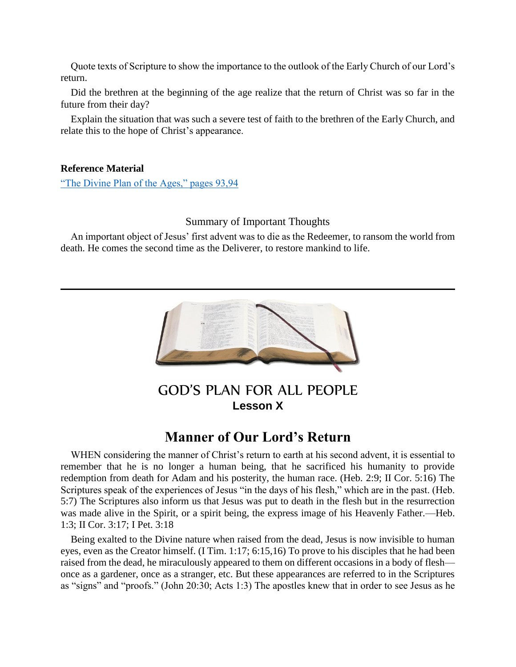Quote texts of Scripture to show the importance to the outlook of the Early Church of our Lord's return.

Did the brethren at the beginning of the age realize that the return of Christ was so far in the future from their day?

Explain the situation that was such a severe test of faith to the brethren of the Early Church, and relate this to the hope of Christ's appearance.

#### **Reference Material**

["The Divine Plan of the Ages," pages 93,94](http://www.bibletoday.com/biblestudies/V1/S06.htm#.Ws-TsWaZNmA)

### Summary of Important Thoughts

An important object of Jesus' first advent was to die as the Redeemer, to ransom the world from death. He comes the second time as the Deliverer, to restore mankind to life.



GOD'S PLAN FOR ALL PEOPLE **Lesson X**

## **Manner of Our Lord's Return**

WHEN considering the manner of Christ's return to earth at his second advent, it is essential to remember that he is no longer a human being, that he sacrificed his humanity to provide redemption from death for Adam and his posterity, the human race. (Heb. 2:9; II Cor. 5:16) The Scriptures speak of the experiences of Jesus "in the days of his flesh," which are in the past. (Heb. 5:7) The Scriptures also inform us that Jesus was put to death in the flesh but in the resurrection was made alive in the Spirit, or a spirit being, the express image of his Heavenly Father.—Heb. 1:3; II Cor. 3:17; I Pet. 3:18

Being exalted to the Divine nature when raised from the dead, Jesus is now invisible to human eyes, even as the Creator himself. (I Tim. 1:17; 6:15,16) To prove to his disciples that he had been raised from the dead, he miraculously appeared to them on different occasions in a body of flesh once as a gardener, once as a stranger, etc. But these appearances are referred to in the Scriptures as "signs" and "proofs." (John 20:30; Acts 1:3) The apostles knew that in order to see Jesus as he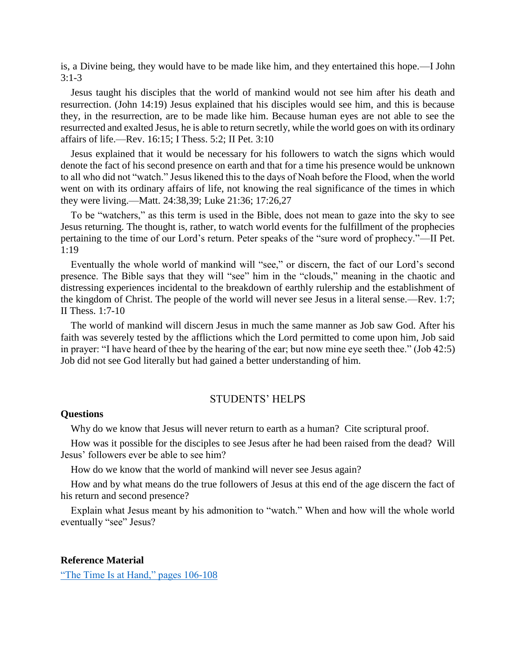is, a Divine being, they would have to be made like him, and they entertained this hope.—I John 3:1-3

Jesus taught his disciples that the world of mankind would not see him after his death and resurrection. (John 14:19) Jesus explained that his disciples would see him, and this is because they, in the resurrection, are to be made like him. Because human eyes are not able to see the resurrected and exalted Jesus, he is able to return secretly, while the world goes on with its ordinary affairs of life.—Rev. 16:15; I Thess. 5:2; II Pet. 3:10

Jesus explained that it would be necessary for his followers to watch the signs which would denote the fact of his second presence on earth and that for a time his presence would be unknown to all who did not "watch." Jesus likened this to the days of Noah before the Flood, when the world went on with its ordinary affairs of life, not knowing the real significance of the times in which they were living.—Matt. 24:38,39; Luke 21:36; 17:26,27

To be "watchers," as this term is used in the Bible, does not mean to gaze into the sky to see Jesus returning. The thought is, rather, to watch world events for the fulfillment of the prophecies pertaining to the time of our Lord's return. Peter speaks of the "sure word of prophecy."—II Pet. 1:19

Eventually the whole world of mankind will "see," or discern, the fact of our Lord's second presence. The Bible says that they will "see" him in the "clouds," meaning in the chaotic and distressing experiences incidental to the breakdown of earthly rulership and the establishment of the kingdom of Christ. The people of the world will never see Jesus in a literal sense.—Rev. 1:7; II Thess. 1:7-10

The world of mankind will discern Jesus in much the same manner as Job saw God. After his faith was severely tested by the afflictions which the Lord permitted to come upon him, Job said in prayer: "I have heard of thee by the hearing of the ear; but now mine eye seeth thee." (Job 42:5) Job did not see God literally but had gained a better understanding of him.

#### STUDENTS' HELPS

#### **Questions**

Why do we know that Jesus will never return to earth as a human? Cite scriptural proof.

How was it possible for the disciples to see Jesus after he had been raised from the dead? Will Jesus' followers ever be able to see him?

How do we know that the world of mankind will never see Jesus again?

How and by what means do the true followers of Jesus at this end of the age discern the fact of his return and second presence?

Explain what Jesus meant by his admonition to "watch." When and how will the whole world eventually "see" Jesus?

#### **Reference Material**

["The Time Is at Hand," pages 106-108](http://www.bibletoday.com/biblestudies/V2/S05.htm#.Ws-UUWaZNmA)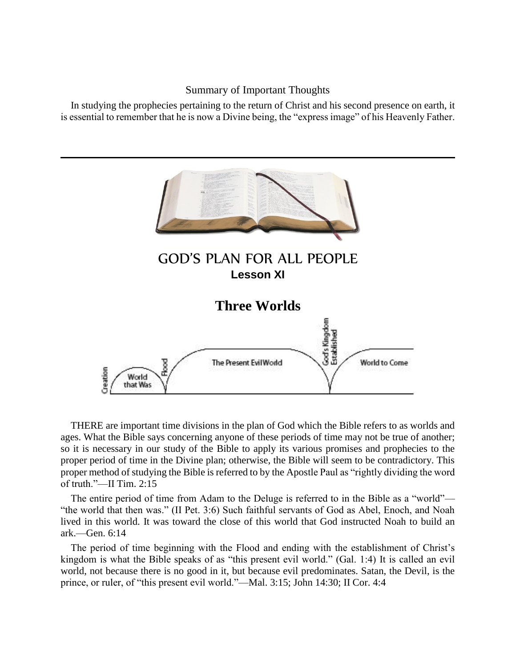#### Summary of Important Thoughts

In studying the prophecies pertaining to the return of Christ and his second presence on earth, it is essential to remember that he is now a Divine being, the "express image" of his Heavenly Father.



THERE are important time divisions in the plan of God which the Bible refers to as worlds and ages. What the Bible says concerning anyone of these periods of time may not be true of another; so it is necessary in our study of the Bible to apply its various promises and prophecies to the proper period of time in the Divine plan; otherwise, the Bible will seem to be contradictory. This proper method of studying the Bible is referred to by the Apostle Paul as "rightly dividing the word of truth."—II Tim. 2:15

The entire period of time from Adam to the Deluge is referred to in the Bible as a "world"— "the world that then was." (II Pet. 3:6) Such faithful servants of God as Abel, Enoch, and Noah lived in this world. It was toward the close of this world that God instructed Noah to build an ark.—Gen. 6:14

The period of time beginning with the Flood and ending with the establishment of Christ's kingdom is what the Bible speaks of as "this present evil world." (Gal. 1:4) It is called an evil world, not because there is no good in it, but because evil predominates. Satan, the Devil, is the prince, or ruler, of "this present evil world."—Mal. 3:15; John 14:30; II Cor. 4:4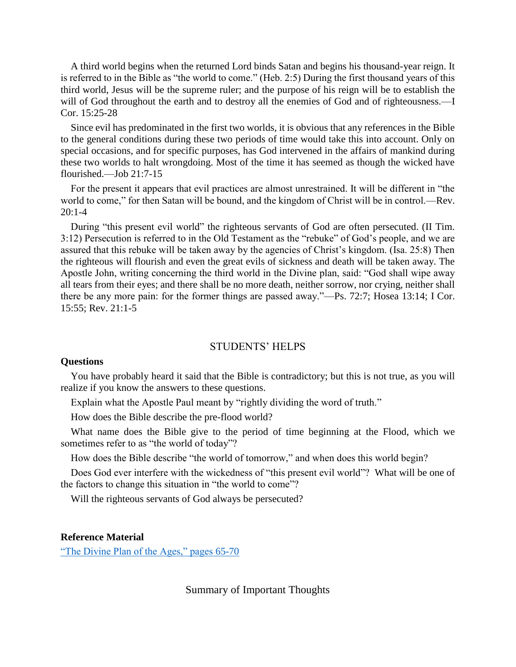A third world begins when the returned Lord binds Satan and begins his thousand-year reign. It is referred to in the Bible as "the world to come." (Heb. 2:5) During the first thousand years of this third world, Jesus will be the supreme ruler; and the purpose of his reign will be to establish the will of God throughout the earth and to destroy all the enemies of God and of righteousness.—I Cor. 15:25-28

Since evil has predominated in the first two worlds, it is obvious that any references in the Bible to the general conditions during these two periods of time would take this into account. Only on special occasions, and for specific purposes, has God intervened in the affairs of mankind during these two worlds to halt wrongdoing. Most of the time it has seemed as though the wicked have flourished.—Job 21:7-15

For the present it appears that evil practices are almost unrestrained. It will be different in "the world to come," for then Satan will be bound, and the kingdom of Christ will be in control.—Rev.  $20:1-4$ 

During "this present evil world" the righteous servants of God are often persecuted. (II Tim. 3:12) Persecution is referred to in the Old Testament as the "rebuke" of God's people, and we are assured that this rebuke will be taken away by the agencies of Christ's kingdom. (Isa. 25:8) Then the righteous will flourish and even the great evils of sickness and death will be taken away. The Apostle John, writing concerning the third world in the Divine plan, said: "God shall wipe away all tears from their eyes; and there shall be no more death, neither sorrow, nor crying, neither shall there be any more pain: for the former things are passed away."—Ps. 72:7; Hosea 13:14; I Cor. 15:55; Rev. 21:1-5

#### STUDENTS' HELPS

#### **Questions**

You have probably heard it said that the Bible is contradictory; but this is not true, as you will realize if you know the answers to these questions.

Explain what the Apostle Paul meant by "rightly dividing the word of truth."

How does the Bible describe the pre-flood world?

What name does the Bible give to the period of time beginning at the Flood, which we sometimes refer to as "the world of today"?

How does the Bible describe "the world of tomorrow," and when does this world begin?

Does God ever interfere with the wickedness of "this present evil world"? What will be one of the factors to change this situation in "the world to come"?

Will the righteous servants of God always be persecuted?

### **Reference Material**

["The Divine Plan of the Ages," pages 65-70](http://www.bibletoday.com/biblestudies/V1/S04.htm#.Ws-VFGaZNmA)

Summary of Important Thoughts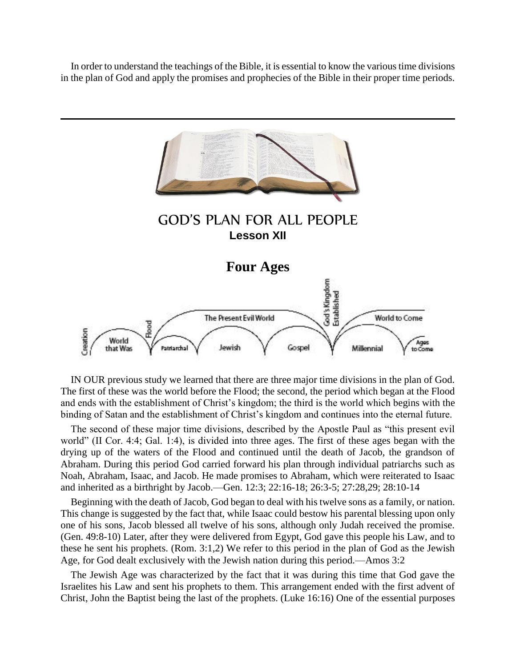In order to understand the teachings of the Bible, it is essential to know the various time divisions in the plan of God and apply the promises and prophecies of the Bible in their proper time periods.



IN OUR previous study we learned that there are three major time divisions in the plan of God. The first of these was the world before the Flood; the second, the period which began at the Flood and ends with the establishment of Christ's kingdom; the third is the world which begins with the binding of Satan and the establishment of Christ's kingdom and continues into the eternal future.

The second of these major time divisions, described by the Apostle Paul as "this present evil world" (II Cor. 4:4; Gal. 1:4), is divided into three ages. The first of these ages began with the drying up of the waters of the Flood and continued until the death of Jacob, the grandson of Abraham. During this period God carried forward his plan through individual patriarchs such as Noah, Abraham, Isaac, and Jacob. He made promises to Abraham, which were reiterated to Isaac and inherited as a birthright by Jacob.—Gen. 12:3; 22:16-18; 26:3-5; 27:28,29; 28:10-14

Beginning with the death of Jacob, God began to deal with his twelve sons as a family, or nation. This change is suggested by the fact that, while Isaac could bestow his parental blessing upon only one of his sons, Jacob blessed all twelve of his sons, although only Judah received the promise. (Gen. 49:8-10) Later, after they were delivered from Egypt, God gave this people his Law, and to these he sent his prophets. (Rom. 3:1,2) We refer to this period in the plan of God as the Jewish Age, for God dealt exclusively with the Jewish nation during this period.—Amos 3:2

The Jewish Age was characterized by the fact that it was during this time that God gave the Israelites his Law and sent his prophets to them. This arrangement ended with the first advent of Christ, John the Baptist being the last of the prophets. (Luke 16:16) One of the essential purposes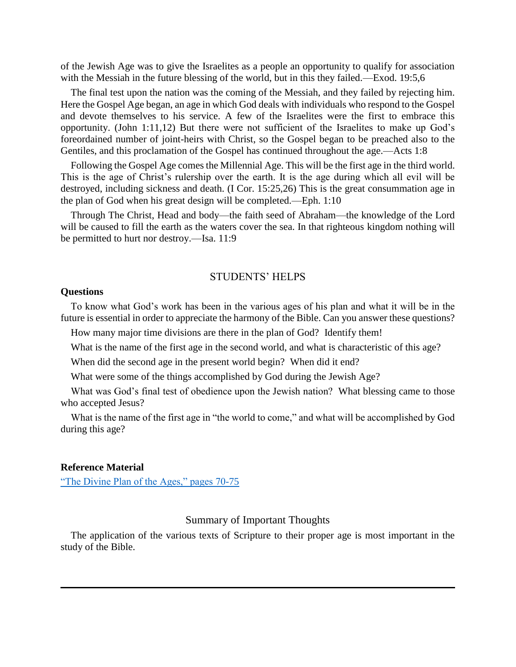of the Jewish Age was to give the Israelites as a people an opportunity to qualify for association with the Messiah in the future blessing of the world, but in this they failed.—Exod. 19:5,6

The final test upon the nation was the coming of the Messiah, and they failed by rejecting him. Here the Gospel Age began, an age in which God deals with individuals who respond to the Gospel and devote themselves to his service. A few of the Israelites were the first to embrace this opportunity. (John 1:11,12) But there were not sufficient of the Israelites to make up God's foreordained number of joint-heirs with Christ, so the Gospel began to be preached also to the Gentiles, and this proclamation of the Gospel has continued throughout the age.—Acts 1:8

Following the Gospel Age comes the Millennial Age. This will be the first age in the third world. This is the age of Christ's rulership over the earth. It is the age during which all evil will be destroyed, including sickness and death. (I Cor. 15:25,26) This is the great consummation age in the plan of God when his great design will be completed.—Eph. 1:10

Through The Christ, Head and body—the faith seed of Abraham—the knowledge of the Lord will be caused to fill the earth as the waters cover the sea. In that righteous kingdom nothing will be permitted to hurt nor destroy.—Isa. 11:9

#### STUDENTS' HELPS

#### **Questions**

To know what God's work has been in the various ages of his plan and what it will be in the future is essential in order to appreciate the harmony of the Bible. Can you answer these questions?

How many major time divisions are there in the plan of God? Identify them!

What is the name of the first age in the second world, and what is characteristic of this age?

When did the second age in the present world begin? When did it end?

What were some of the things accomplished by God during the Jewish Age?

What was God's final test of obedience upon the Jewish nation? What blessing came to those who accepted Jesus?

What is the name of the first age in "the world to come," and what will be accomplished by God during this age?

#### **Reference Material**

["The Divine Plan of the Ages," pages 70-75](http://www.bibletoday.com/biblestudies/V1/S04.htm#.Ws-VFGaZNmA)

### Summary of Important Thoughts

The application of the various texts of Scripture to their proper age is most important in the study of the Bible.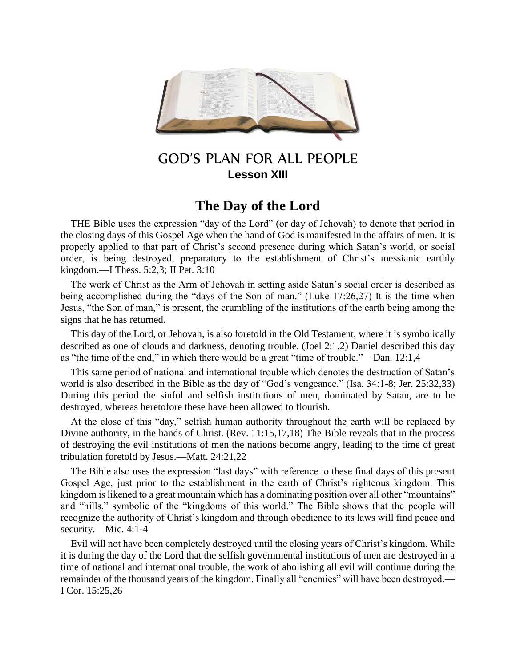

## GOD'S PLAN FOR ALL PEOPLE **Lesson XIII**

## **The Day of the Lord**

THE Bible uses the expression "day of the Lord" (or day of Jehovah) to denote that period in the closing days of this Gospel Age when the hand of God is manifested in the affairs of men. It is properly applied to that part of Christ's second presence during which Satan's world, or social order, is being destroyed, preparatory to the establishment of Christ's messianic earthly kingdom.—I Thess. 5:2,3; II Pet. 3:10

The work of Christ as the Arm of Jehovah in setting aside Satan's social order is described as being accomplished during the "days of the Son of man." (Luke 17:26,27) It is the time when Jesus, "the Son of man," is present, the crumbling of the institutions of the earth being among the signs that he has returned.

This day of the Lord, or Jehovah, is also foretold in the Old Testament, where it is symbolically described as one of clouds and darkness, denoting trouble. (Joel 2:1,2) Daniel described this day as "the time of the end," in which there would be a great "time of trouble."—Dan. 12:1,4

This same period of national and international trouble which denotes the destruction of Satan's world is also described in the Bible as the day of "God's vengeance." (Isa. 34:1-8; Jer. 25:32,33) During this period the sinful and selfish institutions of men, dominated by Satan, are to be destroyed, whereas heretofore these have been allowed to flourish.

At the close of this "day," selfish human authority throughout the earth will be replaced by Divine authority, in the hands of Christ. (Rev. 11:15,17,18) The Bible reveals that in the process of destroying the evil institutions of men the nations become angry, leading to the time of great tribulation foretold by Jesus.—Matt. 24:21,22

The Bible also uses the expression "last days" with reference to these final days of this present Gospel Age, just prior to the establishment in the earth of Christ's righteous kingdom. This kingdom is likened to a great mountain which has a dominating position over all other "mountains" and "hills," symbolic of the "kingdoms of this world." The Bible shows that the people will recognize the authority of Christ's kingdom and through obedience to its laws will find peace and security.—Mic. 4:1-4

Evil will not have been completely destroyed until the closing years of Christ's kingdom. While it is during the day of the Lord that the selfish governmental institutions of men are destroyed in a time of national and international trouble, the work of abolishing all evil will continue during the remainder of the thousand years of the kingdom. Finally all "enemies" will have been destroyed.— I Cor. 15:25,26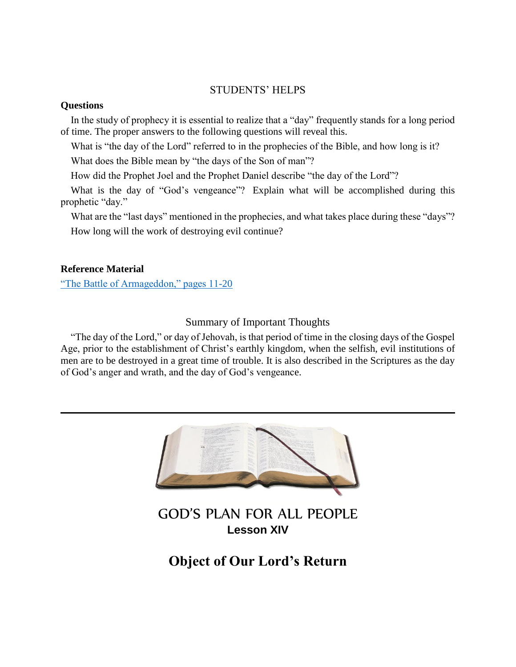### STUDENTS' HELPS

#### **Questions**

In the study of prophecy it is essential to realize that a "day" frequently stands for a long period of time. The proper answers to the following questions will reveal this.

What is "the day of the Lord" referred to in the prophecies of the Bible, and how long is it?

What does the Bible mean by "the days of the Son of man"?

How did the Prophet Joel and the Prophet Daniel describe "the day of the Lord"?

What is the day of "God's vengeance"? Explain what will be accomplished during this prophetic "day."

What are the "last days" mentioned in the prophecies, and what takes place during these "days"? How long will the work of destroying evil continue?

### **Reference Material**

["The Battle of Armageddon," pages 11-20](http://www.bibletoday.com/biblestudies/V4/S01.htm#.Ws-bumaZODc)

### Summary of Important Thoughts

"The day of the Lord," or day of Jehovah, is that period of time in the closing days of the Gospel Age, prior to the establishment of Christ's earthly kingdom, when the selfish, evil institutions of men are to be destroyed in a great time of trouble. It is also described in the Scriptures as the day of God's anger and wrath, and the day of God's vengeance.



GOD'S PLAN FOR ALL PEOPLE **Lesson XIV**

## **Object of Our Lord's Return**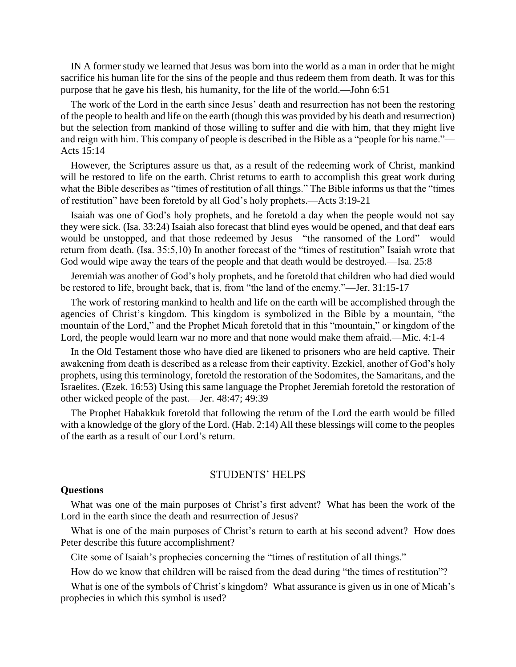IN A former study we learned that Jesus was born into the world as a man in order that he might sacrifice his human life for the sins of the people and thus redeem them from death. It was for this purpose that he gave his flesh, his humanity, for the life of the world.—John 6:51

The work of the Lord in the earth since Jesus' death and resurrection has not been the restoring of the people to health and life on the earth (though this was provided by his death and resurrection) but the selection from mankind of those willing to suffer and die with him, that they might live and reign with him. This company of people is described in the Bible as a "people for his name."— Acts 15:14

However, the Scriptures assure us that, as a result of the redeeming work of Christ, mankind will be restored to life on the earth. Christ returns to earth to accomplish this great work during what the Bible describes as "times of restitution of all things." The Bible informs us that the "times of restitution" have been foretold by all God's holy prophets.—Acts 3:19-21

Isaiah was one of God's holy prophets, and he foretold a day when the people would not say they were sick. (Isa. 33:24) Isaiah also forecast that blind eyes would be opened, and that deaf ears would be unstopped, and that those redeemed by Jesus—"the ransomed of the Lord"—would return from death. (Isa. 35:5,10) In another forecast of the "times of restitution" Isaiah wrote that God would wipe away the tears of the people and that death would be destroyed.—Isa. 25:8

Jeremiah was another of God's holy prophets, and he foretold that children who had died would be restored to life, brought back, that is, from "the land of the enemy."—Jer. 31:15-17

The work of restoring mankind to health and life on the earth will be accomplished through the agencies of Christ's kingdom. This kingdom is symbolized in the Bible by a mountain, "the mountain of the Lord," and the Prophet Micah foretold that in this "mountain," or kingdom of the Lord, the people would learn war no more and that none would make them afraid.—Mic. 4:1-4

In the Old Testament those who have died are likened to prisoners who are held captive. Their awakening from death is described as a release from their captivity. Ezekiel, another of God's holy prophets, using this terminology, foretold the restoration of the Sodomites, the Samaritans, and the Israelites. (Ezek. 16:53) Using this same language the Prophet Jeremiah foretold the restoration of other wicked people of the past.—Jer. 48:47; 49:39

The Prophet Habakkuk foretold that following the return of the Lord the earth would be filled with a knowledge of the glory of the Lord. (Hab. 2:14) All these blessings will come to the peoples of the earth as a result of our Lord's return.

#### STUDENTS' HELPS

#### **Questions**

What was one of the main purposes of Christ's first advent? What has been the work of the Lord in the earth since the death and resurrection of Jesus?

What is one of the main purposes of Christ's return to earth at his second advent? How does Peter describe this future accomplishment?

Cite some of Isaiah's prophecies concerning the "times of restitution of all things."

How do we know that children will be raised from the dead during "the times of restitution"?

What is one of the symbols of Christ's kingdom? What assurance is given us in one of Micah's prophecies in which this symbol is used?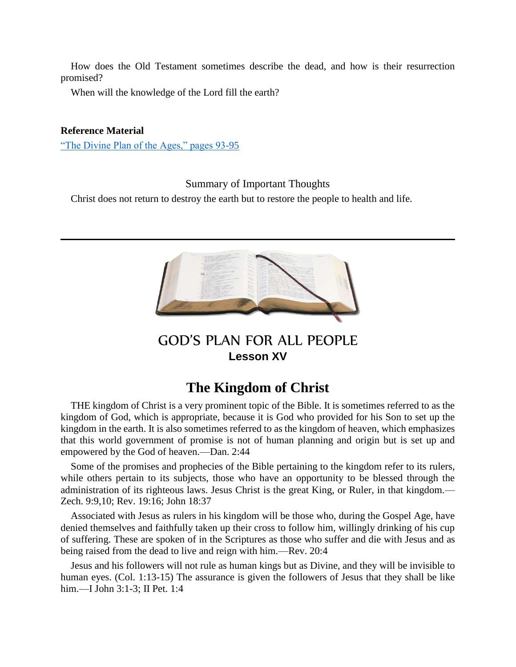How does the Old Testament sometimes describe the dead, and how is their resurrection promised?

When will the knowledge of the Lord fill the earth?

### **Reference Material**

["The Divine Plan of the Ages," pages 93-95](http://www.bibletoday.com/biblestudies/V1/S06.htm#.Ws-cdWaZODc)

Summary of Important Thoughts

Christ does not return to destroy the earth but to restore the people to health and life.



## GOD'S PLAN FOR ALL PEOPLE **Lesson XV**

## **The Kingdom of Christ**

THE kingdom of Christ is a very prominent topic of the Bible. It is sometimes referred to as the kingdom of God, which is appropriate, because it is God who provided for his Son to set up the kingdom in the earth. It is also sometimes referred to as the kingdom of heaven, which emphasizes that this world government of promise is not of human planning and origin but is set up and empowered by the God of heaven.—Dan. 2:44

Some of the promises and prophecies of the Bible pertaining to the kingdom refer to its rulers, while others pertain to its subjects, those who have an opportunity to be blessed through the administration of its righteous laws. Jesus Christ is the great King, or Ruler, in that kingdom.— Zech. 9:9,10; Rev. 19:16; John 18:37

Associated with Jesus as rulers in his kingdom will be those who, during the Gospel Age, have denied themselves and faithfully taken up their cross to follow him, willingly drinking of his cup of suffering. These are spoken of in the Scriptures as those who suffer and die with Jesus and as being raised from the dead to live and reign with him.—Rev. 20:4

Jesus and his followers will not rule as human kings but as Divine, and they will be invisible to human eyes. (Col. 1:13-15) The assurance is given the followers of Jesus that they shall be like him.—I John 3:1-3; II Pet. 1:4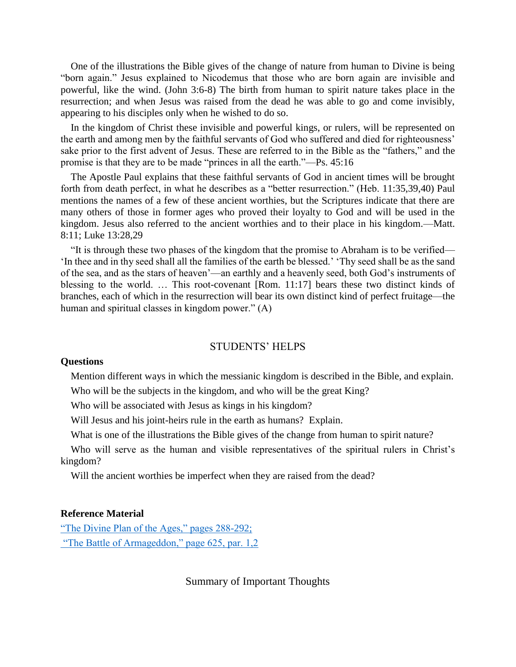One of the illustrations the Bible gives of the change of nature from human to Divine is being "born again." Jesus explained to Nicodemus that those who are born again are invisible and powerful, like the wind. (John 3:6-8) The birth from human to spirit nature takes place in the resurrection; and when Jesus was raised from the dead he was able to go and come invisibly, appearing to his disciples only when he wished to do so.

In the kingdom of Christ these invisible and powerful kings, or rulers, will be represented on the earth and among men by the faithful servants of God who suffered and died for righteousness' sake prior to the first advent of Jesus. These are referred to in the Bible as the "fathers," and the promise is that they are to be made "princes in all the earth."—Ps. 45:16

The Apostle Paul explains that these faithful servants of God in ancient times will be brought forth from death perfect, in what he describes as a "better resurrection." (Heb. 11:35,39,40) Paul mentions the names of a few of these ancient worthies, but the Scriptures indicate that there are many others of those in former ages who proved their loyalty to God and will be used in the kingdom. Jesus also referred to the ancient worthies and to their place in his kingdom.—Matt. 8:11; Luke 13:28,29

"It is through these two phases of the kingdom that the promise to Abraham is to be verified— 'In thee and in thy seed shall all the families of the earth be blessed.' 'Thy seed shall be as the sand of the sea, and as the stars of heaven'—an earthly and a heavenly seed, both God's instruments of blessing to the world. … This root-covenant [Rom. 11:17] bears these two distinct kinds of branches, each of which in the resurrection will bear its own distinct kind of perfect fruitage—the human and spiritual classes in kingdom power." (A)

### STUDENTS' HELPS

#### **Questions**

Mention different ways in which the messianic kingdom is described in the Bible, and explain.

Who will be the subjects in the kingdom, and who will be the great King?

Who will be associated with Jesus as kings in his kingdom?

Will Jesus and his joint-heirs rule in the earth as humans? Explain.

What is one of the illustrations the Bible gives of the change from human to spirit nature?

Who will serve as the human and visible representatives of the spiritual rulers in Christ's kingdom?

Will the ancient worthies be imperfect when they are raised from the dead?

#### **Reference Material**

["The Divine Plan of the Ages," pages 288-292;](http://www.bibletoday.com/biblestudies/V1/S14.htm#.Ws-dbmaZODc) ["The Battle of Armageddon," page 625, par. 1,2](http://www.bibletoday.com/biblestudies/V4/S13.htm#.Ws-dlmaZODc)

Summary of Important Thoughts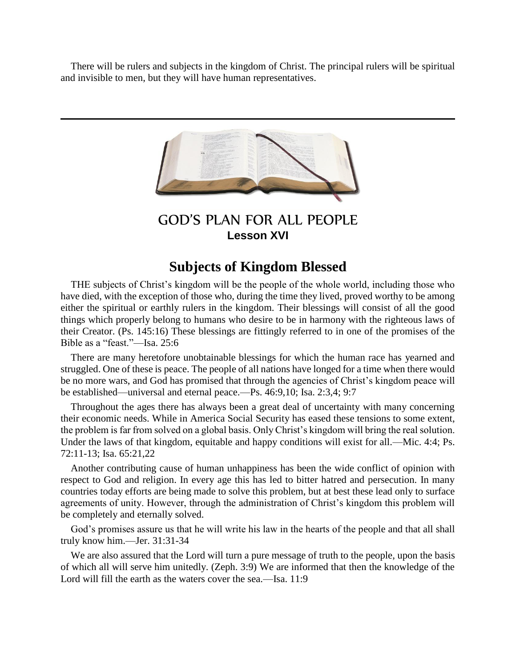There will be rulers and subjects in the kingdom of Christ. The principal rulers will be spiritual and invisible to men, but they will have human representatives.



## GOD'S PLAN FOR ALL PEOPLE **Lesson XVI**

## **Subjects of Kingdom Blessed**

THE subjects of Christ's kingdom will be the people of the whole world, including those who have died, with the exception of those who, during the time they lived, proved worthy to be among either the spiritual or earthly rulers in the kingdom. Their blessings will consist of all the good things which properly belong to humans who desire to be in harmony with the righteous laws of their Creator. (Ps. 145:16) These blessings are fittingly referred to in one of the promises of the Bible as a "feast."—Isa. 25:6

There are many heretofore unobtainable blessings for which the human race has yearned and struggled. One of these is peace. The people of all nations have longed for a time when there would be no more wars, and God has promised that through the agencies of Christ's kingdom peace will be established—universal and eternal peace.—Ps. 46:9,10; Isa. 2:3,4; 9:7

Throughout the ages there has always been a great deal of uncertainty with many concerning their economic needs. While in America Social Security has eased these tensions to some extent, the problem is far from solved on a global basis. Only Christ's kingdom will bring the real solution. Under the laws of that kingdom, equitable and happy conditions will exist for all.—Mic. 4:4; Ps. 72:11-13; Isa. 65:21,22

Another contributing cause of human unhappiness has been the wide conflict of opinion with respect to God and religion. In every age this has led to bitter hatred and persecution. In many countries today efforts are being made to solve this problem, but at best these lead only to surface agreements of unity. However, through the administration of Christ's kingdom this problem will be completely and eternally solved.

God's promises assure us that he will write his law in the hearts of the people and that all shall truly know him.—Jer. 31:31-34

We are also assured that the Lord will turn a pure message of truth to the people, upon the basis of which all will serve him unitedly. (Zeph. 3:9) We are informed that then the knowledge of the Lord will fill the earth as the waters cover the sea.—Isa. 11:9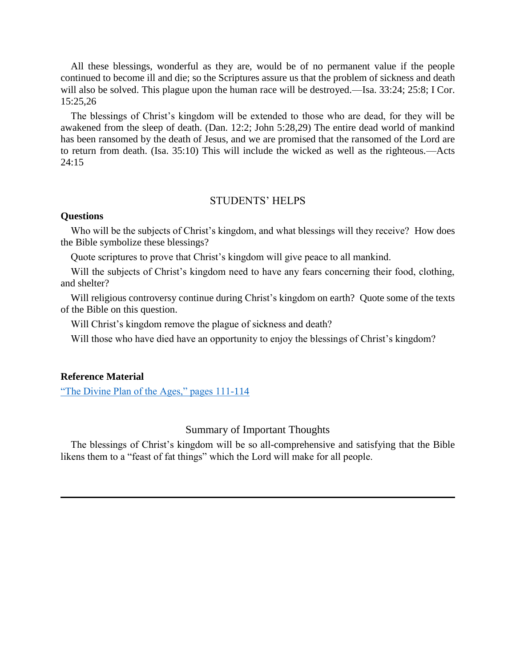All these blessings, wonderful as they are, would be of no permanent value if the people continued to become ill and die; so the Scriptures assure us that the problem of sickness and death will also be solved. This plague upon the human race will be destroyed.—Isa.  $33:24$ ;  $25:8$ ; I Cor. 15:25,26

The blessings of Christ's kingdom will be extended to those who are dead, for they will be awakened from the sleep of death. (Dan. 12:2; John 5:28,29) The entire dead world of mankind has been ransomed by the death of Jesus, and we are promised that the ransomed of the Lord are to return from death. (Isa. 35:10) This will include the wicked as well as the righteous.—Acts 24:15

### STUDENTS' HELPS

#### **Questions**

Who will be the subjects of Christ's kingdom, and what blessings will they receive? How does the Bible symbolize these blessings?

Quote scriptures to prove that Christ's kingdom will give peace to all mankind.

Will the subjects of Christ's kingdom need to have any fears concerning their food, clothing, and shelter?

Will religious controversy continue during Christ's kingdom on earth? Quote some of the texts of the Bible on this question.

Will Christ's kingdom remove the plague of sickness and death?

Will those who have died have an opportunity to enjoy the blessings of Christ's kingdom?

#### **Reference Material**

["The Divine Plan of the Ages," pages 111-114](http://www.bibletoday.com/biblestudies/V1/S06.htm#.Ws-fymaZODc)

#### Summary of Important Thoughts

The blessings of Christ's kingdom will be so all-comprehensive and satisfying that the Bible likens them to a "feast of fat things" which the Lord will make for all people.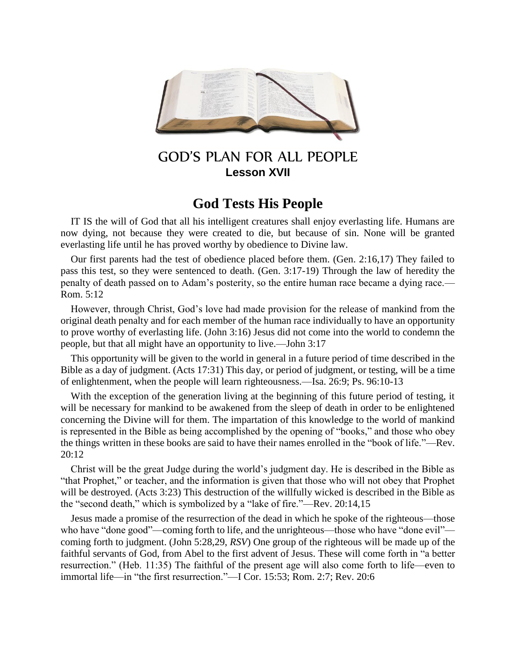

## GOD'S PLAN FOR ALL PEOPLE **Lesson XVII**

## **God Tests His People**

IT IS the will of God that all his intelligent creatures shall enjoy everlasting life. Humans are now dying, not because they were created to die, but because of sin. None will be granted everlasting life until he has proved worthy by obedience to Divine law.

Our first parents had the test of obedience placed before them. (Gen. 2:16,17) They failed to pass this test, so they were sentenced to death. (Gen. 3:17-19) Through the law of heredity the penalty of death passed on to Adam's posterity, so the entire human race became a dying race.— Rom. 5:12

However, through Christ, God's love had made provision for the release of mankind from the original death penalty and for each member of the human race individually to have an opportunity to prove worthy of everlasting life. (John 3:16) Jesus did not come into the world to condemn the people, but that all might have an opportunity to live.—John 3:17

This opportunity will be given to the world in general in a future period of time described in the Bible as a day of judgment. (Acts 17:31) This day, or period of judgment, or testing, will be a time of enlightenment, when the people will learn righteousness.—Isa. 26:9; Ps. 96:10-13

With the exception of the generation living at the beginning of this future period of testing, it will be necessary for mankind to be awakened from the sleep of death in order to be enlightened concerning the Divine will for them. The impartation of this knowledge to the world of mankind is represented in the Bible as being accomplished by the opening of "books," and those who obey the things written in these books are said to have their names enrolled in the "book of life."—Rev. 20:12

Christ will be the great Judge during the world's judgment day. He is described in the Bible as "that Prophet," or teacher, and the information is given that those who will not obey that Prophet will be destroyed. (Acts 3:23) This destruction of the willfully wicked is described in the Bible as the "second death," which is symbolized by a "lake of fire."—Rev. 20:14,15

Jesus made a promise of the resurrection of the dead in which he spoke of the righteous—those who have "done good"—coming forth to life, and the unrighteous—those who have "done evil" coming forth to judgment. (John 5:28,29, *RSV*) One group of the righteous will be made up of the faithful servants of God, from Abel to the first advent of Jesus. These will come forth in "a better resurrection." (Heb. 11:35) The faithful of the present age will also come forth to life—even to immortal life—in "the first resurrection."—I Cor. 15:53; Rom. 2:7; Rev. 20:6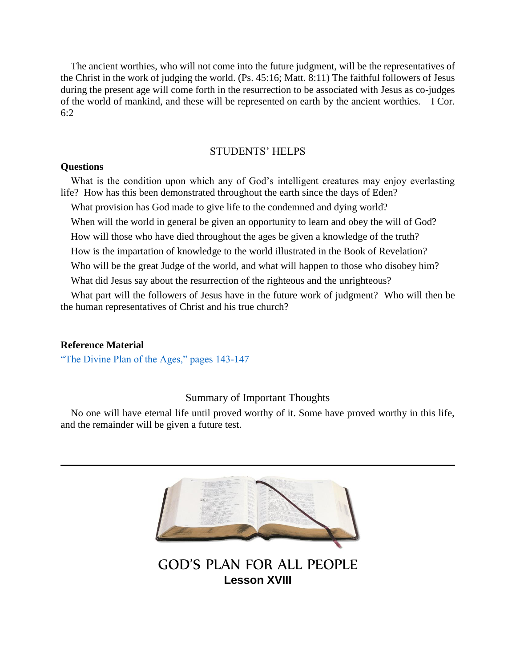The ancient worthies, who will not come into the future judgment, will be the representatives of the Christ in the work of judging the world. (Ps. 45:16; Matt. 8:11) The faithful followers of Jesus during the present age will come forth in the resurrection to be associated with Jesus as co-judges of the world of mankind, and these will be represented on earth by the ancient worthies.—I Cor. 6:2

### STUDENTS' HELPS

#### **Questions**

What is the condition upon which any of God's intelligent creatures may enjoy everlasting life? How has this been demonstrated throughout the earth since the days of Eden?

What provision has God made to give life to the condemned and dying world?

When will the world in general be given an opportunity to learn and obey the will of God?

How will those who have died throughout the ages be given a knowledge of the truth?

How is the impartation of knowledge to the world illustrated in the Book of Revelation?

Who will be the great Judge of the world, and what will happen to those who disobey him?

What did Jesus say about the resurrection of the righteous and the unrighteous?

What part will the followers of Jesus have in the future work of judgment? Who will then be the human representatives of Christ and his true church?

#### **Reference Material**

["The Divine Plan of the Ages," pages 143-147](http://www.bibletoday.com/biblestudies/V1/S08.htm#.Ws-hfmaZOWY)

### Summary of Important Thoughts

No one will have eternal life until proved worthy of it. Some have proved worthy in this life, and the remainder will be given a future test.



GOD'S PLAN FOR ALL PEOPLE **Lesson XVIII**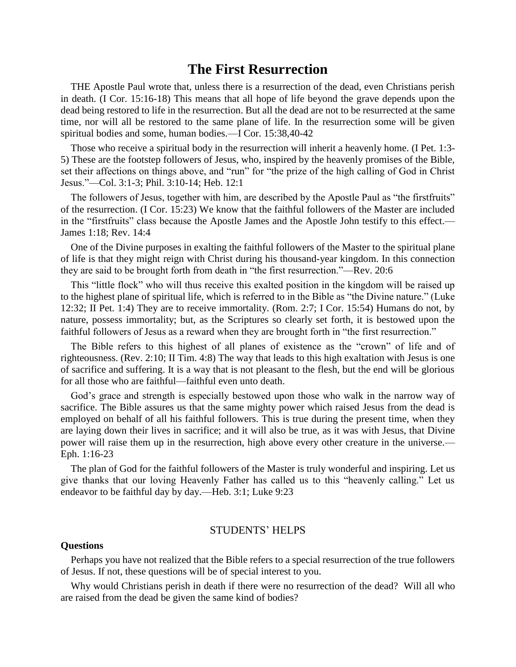## **The First Resurrection**

THE Apostle Paul wrote that, unless there is a resurrection of the dead, even Christians perish in death. (I Cor. 15:16-18) This means that all hope of life beyond the grave depends upon the dead being restored to life in the resurrection. But all the dead are not to be resurrected at the same time, nor will all be restored to the same plane of life. In the resurrection some will be given spiritual bodies and some, human bodies.—I Cor. 15:38,40-42

Those who receive a spiritual body in the resurrection will inherit a heavenly home. (I Pet. 1:3- 5) These are the footstep followers of Jesus, who, inspired by the heavenly promises of the Bible, set their affections on things above, and "run" for "the prize of the high calling of God in Christ Jesus."—Col. 3:1-3; Phil. 3:10-14; Heb. 12:1

The followers of Jesus, together with him, are described by the Apostle Paul as "the firstfruits" of the resurrection. (I Cor. 15:23) We know that the faithful followers of the Master are included in the "firstfruits" class because the Apostle James and the Apostle John testify to this effect.— James 1:18; Rev. 14:4

One of the Divine purposes in exalting the faithful followers of the Master to the spiritual plane of life is that they might reign with Christ during his thousand-year kingdom. In this connection they are said to be brought forth from death in "the first resurrection."—Rev. 20:6

This "little flock" who will thus receive this exalted position in the kingdom will be raised up to the highest plane of spiritual life, which is referred to in the Bible as "the Divine nature." (Luke 12:32; II Pet. 1:4) They are to receive immortality. (Rom. 2:7; I Cor. 15:54) Humans do not, by nature, possess immortality; but, as the Scriptures so clearly set forth, it is bestowed upon the faithful followers of Jesus as a reward when they are brought forth in "the first resurrection."

The Bible refers to this highest of all planes of existence as the "crown" of life and of righteousness. (Rev. 2:10; II Tim. 4:8) The way that leads to this high exaltation with Jesus is one of sacrifice and suffering. It is a way that is not pleasant to the flesh, but the end will be glorious for all those who are faithful—faithful even unto death.

God's grace and strength is especially bestowed upon those who walk in the narrow way of sacrifice. The Bible assures us that the same mighty power which raised Jesus from the dead is employed on behalf of all his faithful followers. This is true during the present time, when they are laying down their lives in sacrifice; and it will also be true, as it was with Jesus, that Divine power will raise them up in the resurrection, high above every other creature in the universe.— Eph. 1:16-23

The plan of God for the faithful followers of the Master is truly wonderful and inspiring. Let us give thanks that our loving Heavenly Father has called us to this "heavenly calling." Let us endeavor to be faithful day by day.—Heb. 3:1; Luke 9:23

#### STUDENTS' HELPS

#### **Questions**

Perhaps you have not realized that the Bible refers to a special resurrection of the true followers of Jesus. If not, these questions will be of special interest to you.

Why would Christians perish in death if there were no resurrection of the dead? Will all who are raised from the dead be given the same kind of bodies?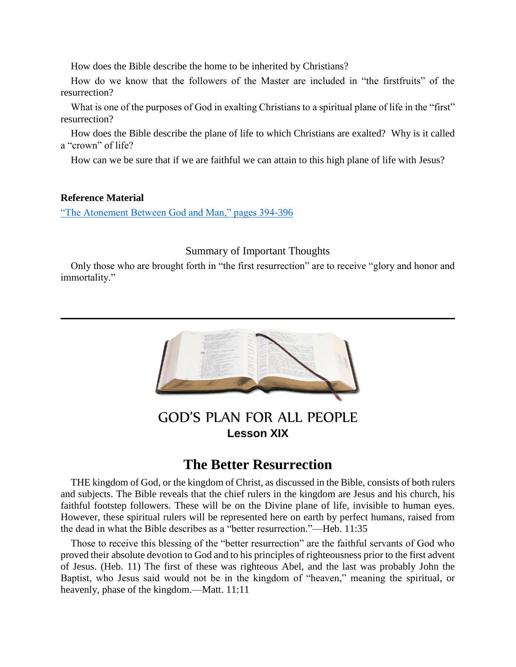How does the Bible describe the home to be inherited by Christians?

How do we know that the followers of the Master are included in "the firstfruits" of the resurrection?

What is one of the purposes of God in exalting Christians to a spiritual plane of life in the "first" resurrection?

How does the Bible describe the plane of life to which Christians are exalted? Why is it called a "crown" of life?

How can we be sure that if we are faithful we can attain to this high plane of life with Jesus?

### **Reference Material**

["The Atonement Between God and Man," pages 394-396](http://www.bibletoday.com/biblestudies/V5/S13.htm#.Ws-ijGaZOWY)

### Summary of Important Thoughts

Only those who are brought forth in "the first resurrection" are to receive "glory and honor and immortality."



GOD'S PLAN FOR ALL PEOPLE **Lesson XIX**

## **The Better Resurrection**

THE kingdom of God, or the kingdom of Christ, as discussed in the Bible, consists of both rulers and subjects. The Bible reveals that the chief rulers in the kingdom are Jesus and his church, his faithful footstep followers. These will be on the Divine plane of life, invisible to human eyes. However, these spiritual rulers will be represented here on earth by perfect humans, raised from the dead in what the Bible describes as a "better resurrection."—Heb. 11:35

Those to receive this blessing of the "better resurrection" are the faithful servants of God who proved their absolute devotion to God and to his principles of righteousness prior to the first advent of Jesus. (Heb. 11) The first of these was righteous Abel, and the last was probably John the Baptist, who Jesus said would not be in the kingdom of "heaven," meaning the spiritual, or heavenly, phase of the kingdom.—Matt. 11:11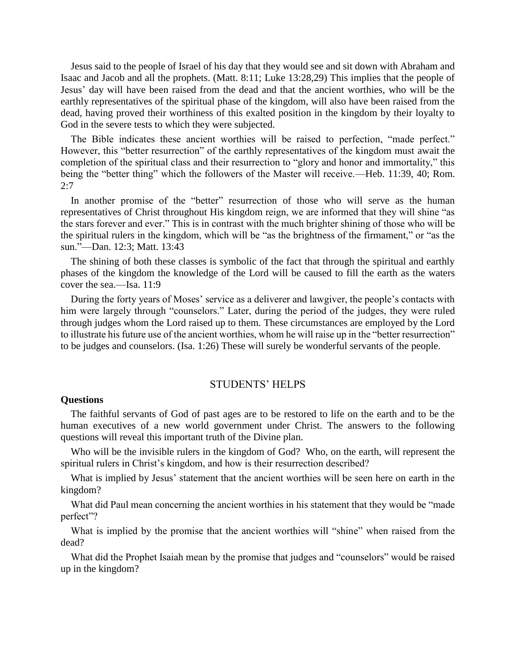Jesus said to the people of Israel of his day that they would see and sit down with Abraham and Isaac and Jacob and all the prophets. (Matt. 8:11; Luke 13:28,29) This implies that the people of Jesus' day will have been raised from the dead and that the ancient worthies, who will be the earthly representatives of the spiritual phase of the kingdom, will also have been raised from the dead, having proved their worthiness of this exalted position in the kingdom by their loyalty to God in the severe tests to which they were subjected.

The Bible indicates these ancient worthies will be raised to perfection, "made perfect." However, this "better resurrection" of the earthly representatives of the kingdom must await the completion of the spiritual class and their resurrection to "glory and honor and immortality," this being the "better thing" which the followers of the Master will receive.—Heb. 11:39, 40; Rom. 2:7

In another promise of the "better" resurrection of those who will serve as the human representatives of Christ throughout His kingdom reign, we are informed that they will shine "as the stars forever and ever." This is in contrast with the much brighter shining of those who will be the spiritual rulers in the kingdom, which will be "as the brightness of the firmament," or "as the sun."—Dan. 12:3; Matt. 13:43

The shining of both these classes is symbolic of the fact that through the spiritual and earthly phases of the kingdom the knowledge of the Lord will be caused to fill the earth as the waters cover the sea.—Isa. 11:9

During the forty years of Moses' service as a deliverer and lawgiver, the people's contacts with him were largely through "counselors." Later, during the period of the judges, they were ruled through judges whom the Lord raised up to them. These circumstances are employed by the Lord to illustrate his future use of the ancient worthies, whom he will raise up in the "better resurrection" to be judges and counselors. (Isa. 1:26) These will surely be wonderful servants of the people.

#### STUDENTS' HELPS

#### **Questions**

The faithful servants of God of past ages are to be restored to life on the earth and to be the human executives of a new world government under Christ. The answers to the following questions will reveal this important truth of the Divine plan.

Who will be the invisible rulers in the kingdom of God? Who, on the earth, will represent the spiritual rulers in Christ's kingdom, and how is their resurrection described?

What is implied by Jesus' statement that the ancient worthies will be seen here on earth in the kingdom?

What did Paul mean concerning the ancient worthies in his statement that they would be "made perfect"?

What is implied by the promise that the ancient worthies will "shine" when raised from the dead?

What did the Prophet Isaiah mean by the promise that judges and "counselors" would be raised up in the kingdom?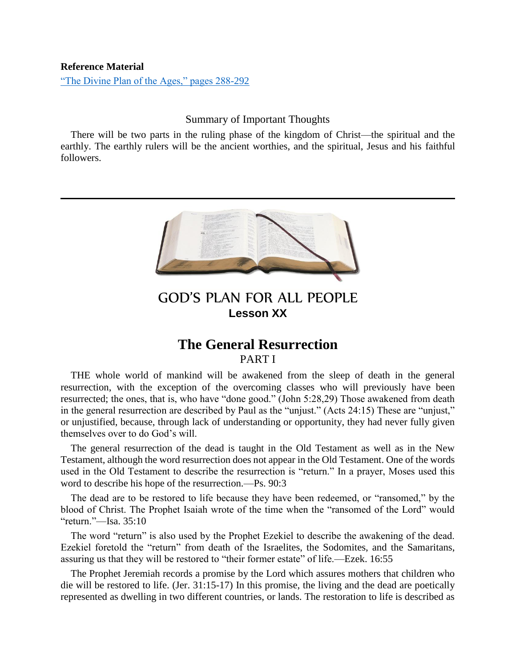#### **Reference Material**

["The Divine Plan of the Ages," pages 288-292](http://www.bibletoday.com/biblestudies/V1/S14.htm#.WtDQKGaZODc)

#### Summary of Important Thoughts

There will be two parts in the ruling phase of the kingdom of Christ—the spiritual and the earthly. The earthly rulers will be the ancient worthies, and the spiritual, Jesus and his faithful followers.



GOD'S PLAN FOR ALL PEOPLE **Lesson XX**

### **The General Resurrection** PART I

THE whole world of mankind will be awakened from the sleep of death in the general resurrection, with the exception of the overcoming classes who will previously have been resurrected; the ones, that is, who have "done good." (John 5:28,29) Those awakened from death in the general resurrection are described by Paul as the "unjust." (Acts 24:15) These are "unjust," or unjustified, because, through lack of understanding or opportunity, they had never fully given themselves over to do God's will.

The general resurrection of the dead is taught in the Old Testament as well as in the New Testament, although the word resurrection does not appear in the Old Testament. One of the words used in the Old Testament to describe the resurrection is "return." In a prayer, Moses used this word to describe his hope of the resurrection.—Ps. 90:3

The dead are to be restored to life because they have been redeemed, or "ransomed," by the blood of Christ. The Prophet Isaiah wrote of the time when the "ransomed of the Lord" would "return."—Isa. 35:10

The word "return" is also used by the Prophet Ezekiel to describe the awakening of the dead. Ezekiel foretold the "return" from death of the Israelites, the Sodomites, and the Samaritans, assuring us that they will be restored to "their former estate" of life.—Ezek. 16:55

The Prophet Jeremiah records a promise by the Lord which assures mothers that children who die will be restored to life. (Jer. 31:15-17) In this promise, the living and the dead are poetically represented as dwelling in two different countries, or lands. The restoration to life is described as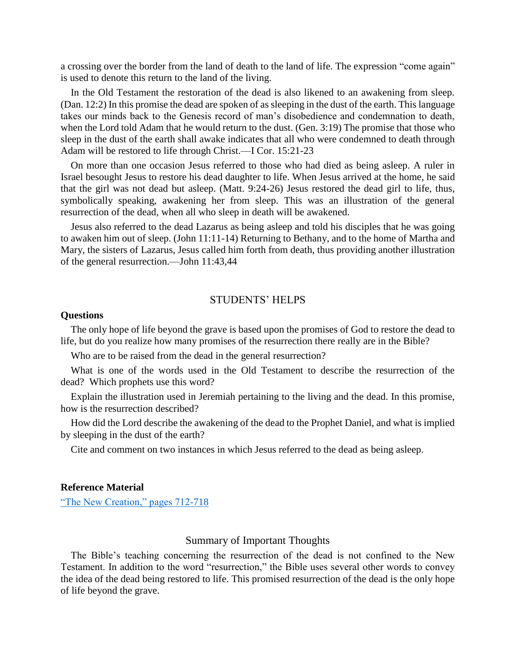a crossing over the border from the land of death to the land of life. The expression "come again" is used to denote this return to the land of the living.

In the Old Testament the restoration of the dead is also likened to an awakening from sleep. (Dan. 12:2) In this promise the dead are spoken of as sleeping in the dust of the earth. This language takes our minds back to the Genesis record of man's disobedience and condemnation to death, when the Lord told Adam that he would return to the dust. (Gen. 3:19) The promise that those who sleep in the dust of the earth shall awake indicates that all who were condemned to death through Adam will be restored to life through Christ.—I Cor. 15:21-23

On more than one occasion Jesus referred to those who had died as being asleep. A ruler in Israel besought Jesus to restore his dead daughter to life. When Jesus arrived at the home, he said that the girl was not dead but asleep. (Matt. 9:24-26) Jesus restored the dead girl to life, thus, symbolically speaking, awakening her from sleep. This was an illustration of the general resurrection of the dead, when all who sleep in death will be awakened.

Jesus also referred to the dead Lazarus as being asleep and told his disciples that he was going to awaken him out of sleep. (John 11:11-14) Returning to Bethany, and to the home of Martha and Mary, the sisters of Lazarus, Jesus called him forth from death, thus providing another illustration of the general resurrection.—John 11:43,44

#### STUDENTS' HELPS

#### **Questions**

The only hope of life beyond the grave is based upon the promises of God to restore the dead to life, but do you realize how many promises of the resurrection there really are in the Bible?

Who are to be raised from the dead in the general resurrection?

What is one of the words used in the Old Testament to describe the resurrection of the dead? Which prophets use this word?

Explain the illustration used in Jeremiah pertaining to the living and the dead. In this promise, how is the resurrection described?

How did the Lord describe the awakening of the dead to the Prophet Daniel, and what is implied by sleeping in the dust of the earth?

Cite and comment on two instances in which Jesus referred to the dead as being asleep.

#### **Reference Material**

["The New Creation," pages 712-718](http://www.bibletoday.com/biblestudies/V6/S17.htm#.WtDRImaZODc)

#### Summary of Important Thoughts

The Bible's teaching concerning the resurrection of the dead is not confined to the New Testament. In addition to the word "resurrection," the Bible uses several other words to convey the idea of the dead being restored to life. This promised resurrection of the dead is the only hope of life beyond the grave.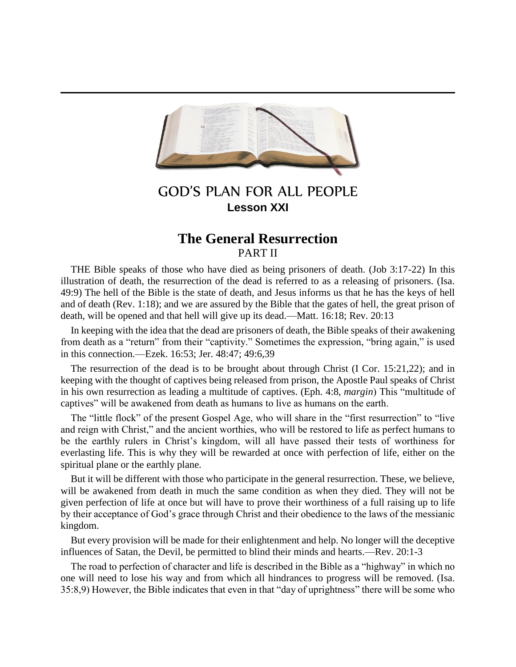

## GOD'S PLAN FOR ALL PEOPLE **Lesson XXI**

## **The General Resurrection** PART II

THE Bible speaks of those who have died as being prisoners of death. (Job 3:17-22) In this illustration of death, the resurrection of the dead is referred to as a releasing of prisoners. (Isa. 49:9) The hell of the Bible is the state of death, and Jesus informs us that he has the keys of hell and of death (Rev. 1:18); and we are assured by the Bible that the gates of hell, the great prison of death, will be opened and that hell will give up its dead.—Matt. 16:18; Rev. 20:13

In keeping with the idea that the dead are prisoners of death, the Bible speaks of their awakening from death as a "return" from their "captivity." Sometimes the expression, "bring again," is used in this connection.—Ezek. 16:53; Jer. 48:47; 49:6,39

The resurrection of the dead is to be brought about through Christ (I Cor. 15:21,22); and in keeping with the thought of captives being released from prison, the Apostle Paul speaks of Christ in his own resurrection as leading a multitude of captives. (Eph. 4:8, *margin*) This "multitude of captives" will be awakened from death as humans to live as humans on the earth.

The "little flock" of the present Gospel Age, who will share in the "first resurrection" to "live and reign with Christ," and the ancient worthies, who will be restored to life as perfect humans to be the earthly rulers in Christ's kingdom, will all have passed their tests of worthiness for everlasting life. This is why they will be rewarded at once with perfection of life, either on the spiritual plane or the earthly plane.

But it will be different with those who participate in the general resurrection. These, we believe, will be awakened from death in much the same condition as when they died. They will not be given perfection of life at once but will have to prove their worthiness of a full raising up to life by their acceptance of God's grace through Christ and their obedience to the laws of the messianic kingdom.

But every provision will be made for their enlightenment and help. No longer will the deceptive influences of Satan, the Devil, be permitted to blind their minds and hearts.—Rev. 20:1-3

The road to perfection of character and life is described in the Bible as a "highway" in which no one will need to lose his way and from which all hindrances to progress will be removed. (Isa. 35:8,9) However, the Bible indicates that even in that "day of uprightness" there will be some who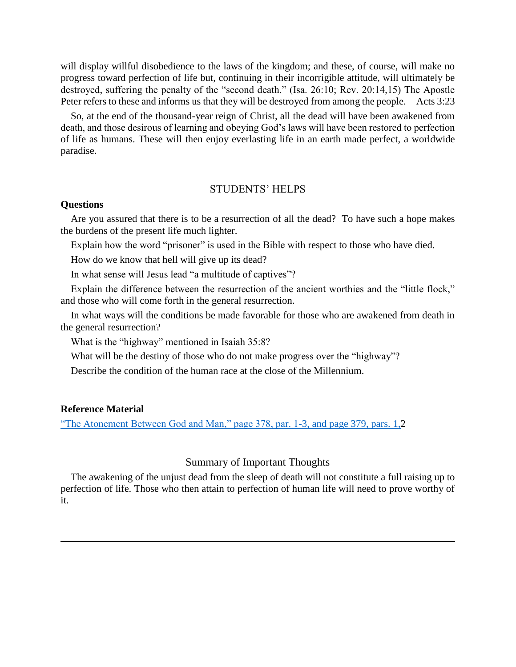will display willful disobedience to the laws of the kingdom; and these, of course, will make no progress toward perfection of life but, continuing in their incorrigible attitude, will ultimately be destroyed, suffering the penalty of the "second death." (Isa. 26:10; Rev. 20:14,15) The Apostle Peter refers to these and informs us that they will be destroyed from among the people.—Acts 3:23

So, at the end of the thousand-year reign of Christ, all the dead will have been awakened from death, and those desirous of learning and obeying God's laws will have been restored to perfection of life as humans. These will then enjoy everlasting life in an earth made perfect, a worldwide paradise.

#### STUDENTS' HELPS

#### **Questions**

Are you assured that there is to be a resurrection of all the dead? To have such a hope makes the burdens of the present life much lighter.

Explain how the word "prisoner" is used in the Bible with respect to those who have died.

How do we know that hell will give up its dead?

In what sense will Jesus lead "a multitude of captives"?

Explain the difference between the resurrection of the ancient worthies and the "little flock," and those who will come forth in the general resurrection.

In what ways will the conditions be made favorable for those who are awakened from death in the general resurrection?

What is the "highway" mentioned in Isaiah 35:8?

What will be the destiny of those who do not make progress over the "highway"?

Describe the condition of the human race at the close of the Millennium.

#### **Reference Material**

["The Atonement Between God and Man," page 378, par. 1-3, and page 379, pars. 1,2](http://www.bibletoday.com/biblestudies/V5/S12.htm#.WtDR62aZODc)

#### Summary of Important Thoughts

The awakening of the unjust dead from the sleep of death will not constitute a full raising up to perfection of life. Those who then attain to perfection of human life will need to prove worthy of it.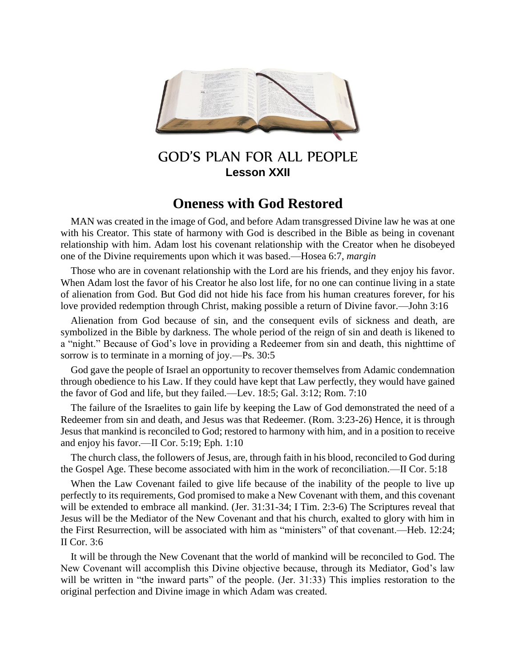

GOD'S PLAN FOR ALL PEOPLE **Lesson XXII**

## **Oneness with God Restored**

MAN was created in the image of God, and before Adam transgressed Divine law he was at one with his Creator. This state of harmony with God is described in the Bible as being in covenant relationship with him. Adam lost his covenant relationship with the Creator when he disobeyed one of the Divine requirements upon which it was based.—Hosea 6:7, *margin*

Those who are in covenant relationship with the Lord are his friends, and they enjoy his favor. When Adam lost the favor of his Creator he also lost life, for no one can continue living in a state of alienation from God. But God did not hide his face from his human creatures forever, for his love provided redemption through Christ, making possible a return of Divine favor.—John 3:16

Alienation from God because of sin, and the consequent evils of sickness and death, are symbolized in the Bible by darkness. The whole period of the reign of sin and death is likened to a "night." Because of God's love in providing a Redeemer from sin and death, this nighttime of sorrow is to terminate in a morning of joy.—Ps. 30:5

God gave the people of Israel an opportunity to recover themselves from Adamic condemnation through obedience to his Law. If they could have kept that Law perfectly, they would have gained the favor of God and life, but they failed.—Lev. 18:5; Gal. 3:12; Rom. 7:10

The failure of the Israelites to gain life by keeping the Law of God demonstrated the need of a Redeemer from sin and death, and Jesus was that Redeemer. (Rom. 3:23-26) Hence, it is through Jesus that mankind is reconciled to God; restored to harmony with him, and in a position to receive and enjoy his favor.—II Cor. 5:19; Eph. 1:10

The church class, the followers of Jesus, are, through faith in his blood, reconciled to God during the Gospel Age. These become associated with him in the work of reconciliation.—II Cor. 5:18

When the Law Covenant failed to give life because of the inability of the people to live up perfectly to its requirements, God promised to make a New Covenant with them, and this covenant will be extended to embrace all mankind. (Jer. 31:31-34; I Tim. 2:3-6) The Scriptures reveal that Jesus will be the Mediator of the New Covenant and that his church, exalted to glory with him in the First Resurrection, will be associated with him as "ministers" of that covenant.—Heb. 12:24; II Cor. 3:6

It will be through the New Covenant that the world of mankind will be reconciled to God. The New Covenant will accomplish this Divine objective because, through its Mediator, God's law will be written in "the inward parts" of the people. (Jer. 31:33) This implies restoration to the original perfection and Divine image in which Adam was created.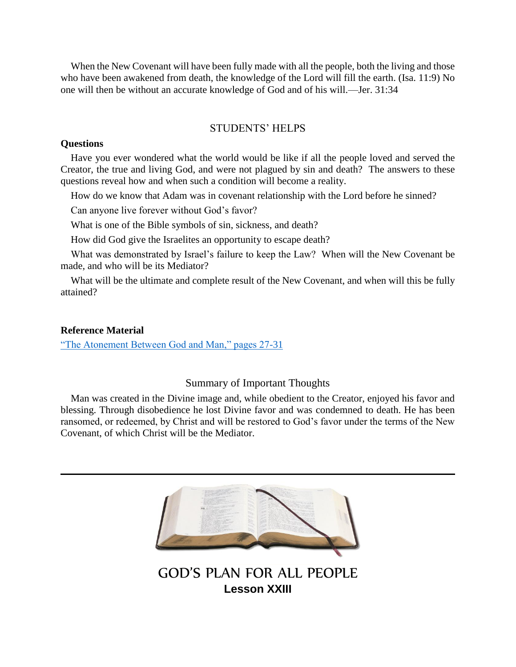When the New Covenant will have been fully made with all the people, both the living and those who have been awakened from death, the knowledge of the Lord will fill the earth. (Isa. 11:9) No one will then be without an accurate knowledge of God and of his will.—Jer. 31:34

### STUDENTS' HELPS

#### **Questions**

Have you ever wondered what the world would be like if all the people loved and served the Creator, the true and living God, and were not plagued by sin and death? The answers to these questions reveal how and when such a condition will become a reality.

How do we know that Adam was in covenant relationship with the Lord before he sinned?

Can anyone live forever without God's favor?

What is one of the Bible symbols of sin, sickness, and death?

How did God give the Israelites an opportunity to escape death?

What was demonstrated by Israel's failure to keep the Law? When will the New Covenant be made, and who will be its Mediator?

What will be the ultimate and complete result of the New Covenant, and when will this be fully attained?

#### **Reference Material**

["The Atonement Between God and Man," pages 27-31](http://www.bibletoday.com/biblestudies/V5/S01.htm#.WtDSw2aZODc)

#### Summary of Important Thoughts

Man was created in the Divine image and, while obedient to the Creator, enjoyed his favor and blessing. Through disobedience he lost Divine favor and was condemned to death. He has been ransomed, or redeemed, by Christ and will be restored to God's favor under the terms of the New Covenant, of which Christ will be the Mediator.



GOD'S PLAN FOR ALL PEOPLE **Lesson XXIII**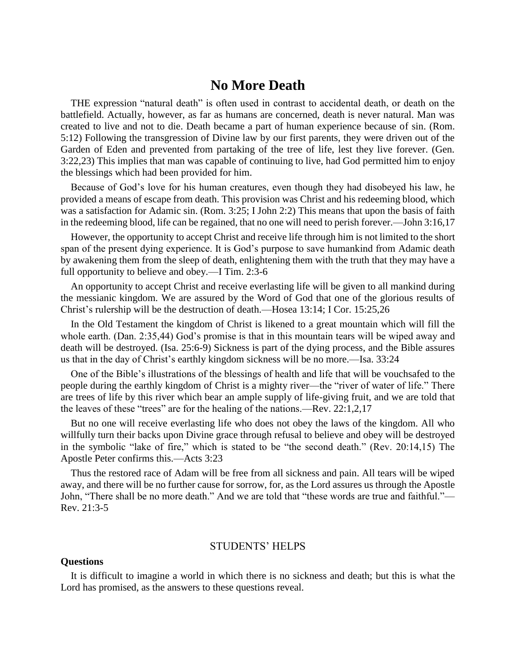## **No More Death**

THE expression "natural death" is often used in contrast to accidental death, or death on the battlefield. Actually, however, as far as humans are concerned, death is never natural. Man was created to live and not to die. Death became a part of human experience because of sin. (Rom. 5:12) Following the transgression of Divine law by our first parents, they were driven out of the Garden of Eden and prevented from partaking of the tree of life, lest they live forever. (Gen. 3:22,23) This implies that man was capable of continuing to live, had God permitted him to enjoy the blessings which had been provided for him.

Because of God's love for his human creatures, even though they had disobeyed his law, he provided a means of escape from death. This provision was Christ and his redeeming blood, which was a satisfaction for Adamic sin. (Rom. 3:25; I John 2:2) This means that upon the basis of faith in the redeeming blood, life can be regained, that no one will need to perish forever.—John 3:16,17

However, the opportunity to accept Christ and receive life through him is not limited to the short span of the present dying experience. It is God's purpose to save humankind from Adamic death by awakening them from the sleep of death, enlightening them with the truth that they may have a full opportunity to believe and obey.—I Tim. 2:3-6

An opportunity to accept Christ and receive everlasting life will be given to all mankind during the messianic kingdom. We are assured by the Word of God that one of the glorious results of Christ's rulership will be the destruction of death.—Hosea 13:14; I Cor. 15:25,26

In the Old Testament the kingdom of Christ is likened to a great mountain which will fill the whole earth. (Dan. 2:35,44) God's promise is that in this mountain tears will be wiped away and death will be destroyed. (Isa. 25:6-9) Sickness is part of the dying process, and the Bible assures us that in the day of Christ's earthly kingdom sickness will be no more.—Isa. 33:24

One of the Bible's illustrations of the blessings of health and life that will be vouchsafed to the people during the earthly kingdom of Christ is a mighty river—the "river of water of life." There are trees of life by this river which bear an ample supply of life-giving fruit, and we are told that the leaves of these "trees" are for the healing of the nations.—Rev. 22:1,2,17

But no one will receive everlasting life who does not obey the laws of the kingdom. All who willfully turn their backs upon Divine grace through refusal to believe and obey will be destroyed in the symbolic "lake of fire," which is stated to be "the second death." (Rev. 20:14,15) The Apostle Peter confirms this.—Acts 3:23

Thus the restored race of Adam will be free from all sickness and pain. All tears will be wiped away, and there will be no further cause for sorrow, for, as the Lord assures us through the Apostle John, "There shall be no more death." And we are told that "these words are true and faithful."— Rev. 21:3-5

#### STUDENTS' HELPS

#### **Questions**

It is difficult to imagine a world in which there is no sickness and death; but this is what the Lord has promised, as the answers to these questions reveal.